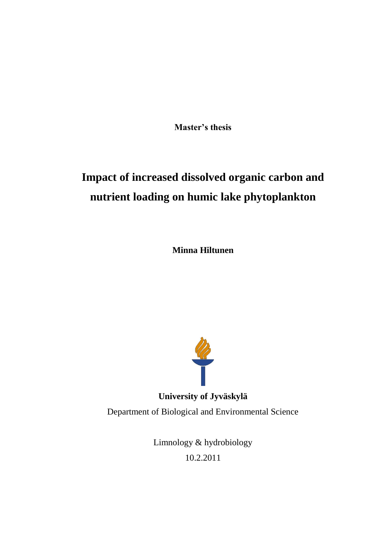**Master's thesis**

# **Impact of increased dissolved organic carbon and nutrient loading on humic lake phytoplankton**

**Minna Hiltunen**



**University of Jyväskylä** Department of Biological and Environmental Science

> Limnology & hydrobiology 10.2.2011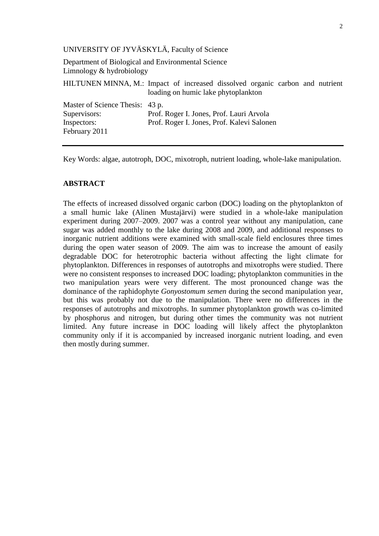## UNIVERSITY OF JYVÄSKYLÄ, Faculty of Science

Department of Biological and Environmental Science Limnology & hydrobiology

HILTUNEN MINNA, M.: Impact of increased dissolved organic carbon and nutrient loading on humic lake phytoplankton

| Master of Science Thesis: 43 p. |                                            |
|---------------------------------|--------------------------------------------|
| Supervisors:                    | Prof. Roger I. Jones, Prof. Lauri Arvola   |
| Inspectors:                     | Prof. Roger I. Jones, Prof. Kalevi Salonen |
| February 2011                   |                                            |

Key Words: algae, autotroph, DOC, mixotroph, nutrient loading, whole-lake manipulation.

# **ABSTRACT**

The effects of increased dissolved organic carbon (DOC) loading on the phytoplankton of a small humic lake (Alinen Mustajärvi) were studied in a whole-lake manipulation experiment during 2007–2009. 2007 was a control year without any manipulation, cane sugar was added monthly to the lake during 2008 and 2009, and additional responses to inorganic nutrient additions were examined with small-scale field enclosures three times during the open water season of 2009. The aim was to increase the amount of easily degradable DOC for heterotrophic bacteria without affecting the light climate for phytoplankton. Differences in responses of autotrophs and mixotrophs were studied. There were no consistent responses to increased DOC loading; phytoplankton communities in the two manipulation years were very different. The most pronounced change was the dominance of the raphidophyte *Gonyostomum semen* during the second manipulation year, but this was probably not due to the manipulation. There were no differences in the responses of autotrophs and mixotrophs. In summer phytoplankton growth was co-limited by phosphorus and nitrogen, but during other times the community was not nutrient limited. Any future increase in DOC loading will likely affect the phytoplankton community only if it is accompanied by increased inorganic nutrient loading, and even then mostly during summer.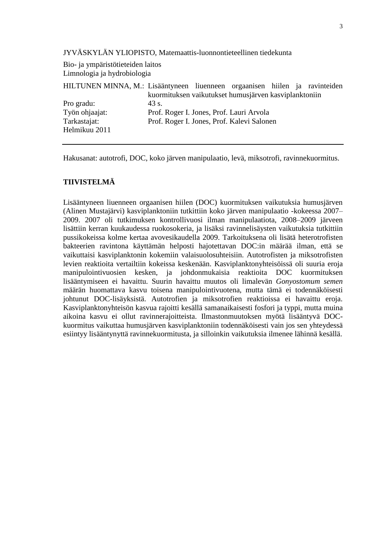JYVÄSKYLÄN YLIOPISTO, Matemaattis-luonnontieteellinen tiedekunta

Bio- ja ympäristötieteiden laitos Limnologia ja hydrobiologia

| 43 s. |  |                                                                                        |                                                                                                                                      |
|-------|--|----------------------------------------------------------------------------------------|--------------------------------------------------------------------------------------------------------------------------------------|
|       |  |                                                                                        |                                                                                                                                      |
|       |  |                                                                                        |                                                                                                                                      |
|       |  |                                                                                        |                                                                                                                                      |
|       |  | Prof. Roger I. Jones, Prof. Lauri Arvola<br>Prof. Roger I. Jones, Prof. Kalevi Salonen | HILTUNEN MINNA, M.: Lisääntyneen liuenneen orgaanisen hiilen ja ravinteiden<br>kuormituksen vaikutukset humusjärven kasviplanktoniin |

Hakusanat: autotrofi, DOC, koko järven manipulaatio, levä, miksotrofi, ravinnekuormitus.

# **TIIVISTELMÄ**

Lisääntyneen liuenneen orgaanisen hiilen (DOC) kuormituksen vaikutuksia humusjärven (Alinen Mustajärvi) kasviplanktoniin tutkittiin koko järven manipulaatio -kokeessa 2007– 2009. 2007 oli tutkimuksen kontrollivuosi ilman manipulaatiota, 2008–2009 järveen lisättiin kerran kuukaudessa ruokosokeria, ja lisäksi ravinnelisäysten vaikutuksia tutkittiin pussikokeissa kolme kertaa avovesikaudella 2009. Tarkoituksena oli lisätä heterotrofisten bakteerien ravintona käyttämän helposti hajotettavan DOC:in määrää ilman, että se vaikuttaisi kasviplanktonin kokemiin valaisuolosuhteisiin. Autotrofisten ja miksotrofisten levien reaktioita vertailtiin kokeissa keskenään. Kasviplanktonyhteisöissä oli suuria eroja manipulointivuosien kesken, ja johdonmukaisia reaktioita DOC kuormituksen lisääntymiseen ei havaittu. Suurin havaittu muutos oli limalevän *Gonyostomum semen* määrän huomattava kasvu toisena manipulointivuotena, mutta tämä ei todennäköisesti johtunut DOC-lisäyksistä. Autotrofien ja miksotrofien reaktioissa ei havaittu eroja. Kasviplanktonyhteisön kasvua rajoitti kesällä samanaikaisesti fosfori ja typpi, mutta muina aikoina kasvu ei ollut ravinnerajoitteista. Ilmastonmuutoksen myötä lisääntyvä DOCkuormitus vaikuttaa humusjärven kasviplanktoniin todennäköisesti vain jos sen yhteydessä esiintyy lisääntynyttä ravinnekuormitusta, ja silloinkin vaikutuksia ilmenee lähinnä kesällä.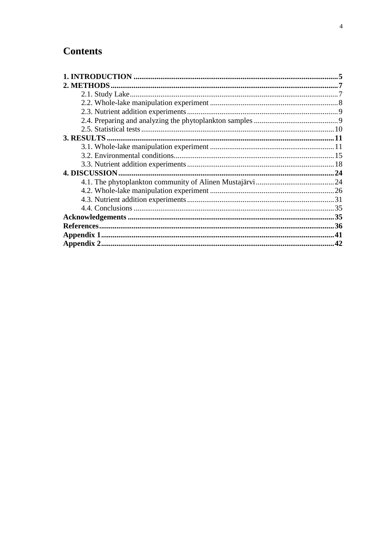# **Contents**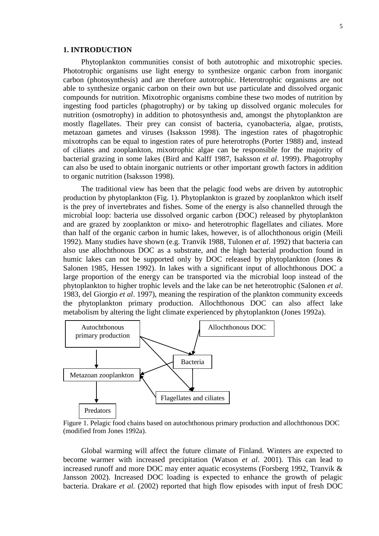#### <span id="page-4-0"></span>**1. INTRODUCTION**

Phytoplankton communities consist of both autotrophic and mixotrophic species. Phototrophic organisms use light energy to synthesize organic carbon from inorganic carbon (photosynthesis) and are therefore autotrophic. Heterotrophic organisms are not able to synthesize organic carbon on their own but use particulate and dissolved organic compounds for nutrition. Mixotrophic organisms combine these two modes of nutrition by ingesting food particles (phagotrophy) or by taking up dissolved organic molecules for nutrition (osmotrophy) in addition to photosynthesis and, amongst the phytoplankton are mostly flagellates. Their prey can consist of bacteria, cyanobacteria, algae, protists, metazoan gametes and viruses (Isaksson 1998). The ingestion rates of phagotrophic mixotrophs can be equal to ingestion rates of pure heterotrophs (Porter 1988) and, instead of ciliates and zooplankton, mixotrophic algae can be responsible for the majority of bacterial grazing in some lakes (Bird and Kalff 1987, Isaksson *et al*. 1999). Phagotrophy can also be used to obtain inorganic nutrients or other important growth factors in addition to organic nutrition (Isaksson 1998).

The traditional view has been that the pelagic food webs are driven by autotrophic production by phytoplankton (Fig. 1). Phytoplankton is grazed by zooplankton which itself is the prey of invertebrates and fishes. Some of the energy is also channelled through the microbial loop: bacteria use dissolved organic carbon (DOC) released by phytoplankton and are grazed by zooplankton or mixo- and heterotrophic flagellates and ciliates. More than half of the organic carbon in humic lakes, however, is of allochthonous origin (Meili 1992). Many studies have shown (e.g. Tranvik 1988, Tulonen *et al*. 1992) that bacteria can also use allochthonous DOC as a substrate, and the high bacterial production found in humic lakes can not be supported only by DOC released by phytoplankton (Jones & Salonen 1985, Hessen 1992). In lakes with a significant input of allochthonous DOC a large proportion of the energy can be transported via the microbial loop instead of the phytoplankton to higher trophic levels and the lake can be net heterotrophic (Salonen *et al*. 1983, del Giorgio *et al*. 1997), meaning the respiration of the plankton community exceeds the phytoplankton primary production. Allochthonous DOC can also affect lake metabolism by altering the light climate experienced by phytoplankton (Jones 1992a).



Figure 1. Pelagic food chains based on autochthonous primary production and allochthonous DOC (modified from Jones 1992a).

Global warming will affect the future climate of Finland. Winters are expected to become warmer with increased precipitation (Watson *et al*. 2001). This can lead to increased runoff and more DOC may enter aquatic ecosystems (Forsberg 1992, Tranvik & Jansson 2002). Increased DOC loading is expected to enhance the growth of pelagic bacteria. Drakare *et al.* (2002) reported that high flow episodes with input of fresh DOC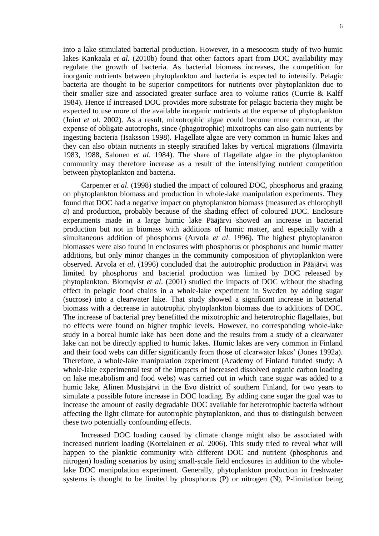into a lake stimulated bacterial production. However, in a mesocosm study of two humic lakes Kankaala *et al.* (2010b) found that other factors apart from DOC availability may regulate the growth of bacteria. As bacterial biomass increases, the competition for inorganic nutrients between phytoplankton and bacteria is expected to intensify. Pelagic bacteria are thought to be superior competitors for nutrients over phytoplankton due to their smaller size and associated greater surface area to volume ratios (Currie & Kalff 1984). Hence if increased DOC provides more substrate for pelagic bacteria they might be expected to use more of the available inorganic nutrients at the expense of phytoplankton (Joint *et al*. 2002). As a result, mixotrophic algae could become more common, at the expense of obligate autotrophs, since (phagotrophic) mixotrophs can also gain nutrients by ingesting bacteria (Isaksson 1998). Flagellate algae are very common in humic lakes and they can also obtain nutrients in steeply stratified lakes by vertical migrations (Ilmavirta 1983, 1988, Salonen *et al*. 1984). The share of flagellate algae in the phytoplankton community may therefore increase as a result of the intensifying nutrient competition between phytoplankton and bacteria.

Carpenter *et al*. (1998) studied the impact of coloured DOC, phosphorus and grazing on phytoplankton biomass and production in whole-lake manipulation experiments. They found that DOC had a negative impact on phytoplankton biomass (measured as chlorophyll *a*) and production, probably because of the shading effect of coloured DOC. Enclosure experiments made in a large humic lake Pääjärvi showed an increase in bacterial production but not in biomass with additions of humic matter, and especially with a simultaneous addition of phosphorus (Arvola *et al*. 1996). The highest phytoplankton biomasses were also found in enclosures with phosphorus or phosphorus and humic matter additions, but only minor changes in the community composition of phytoplankton were observed. Arvola *et al*. (1996) concluded that the autotrophic production in Pääjärvi was limited by phosphorus and bacterial production was limited by DOC released by phytoplankton. Blomqvist *et al*. (2001) studied the impacts of DOC without the shading effect in pelagic food chains in a whole-lake experiment in Sweden by adding sugar (sucrose) into a clearwater lake. That study showed a significant increase in bacterial biomass with a decrease in autotrophic phytoplankton biomass due to additions of DOC. The increase of bacterial prey benefitted the mixotrophic and heterotrophic flagellates, but no effects were found on higher trophic levels. However, no corresponding whole-lake study in a boreal humic lake has been done and the results from a study of a clearwater lake can not be directly applied to humic lakes. Humic lakes are very common in Finland and their food webs can differ significantly from those of clearwater lakes' (Jones 1992a). Therefore, a whole-lake manipulation experiment (Academy of Finland funded study: A whole-lake experimental test of the impacts of increased dissolved organic carbon loading on lake metabolism and food webs) was carried out in which cane sugar was added to a humic lake, Alinen Mustajärvi in the Evo district of southern Finland, for two years to simulate a possible future increase in DOC loading. By adding cane sugar the goal was to increase the amount of easily degradable DOC available for heterotrophic bacteria without affecting the light climate for autotrophic phytoplankton, and thus to distinguish between these two potentially confounding effects.

Increased DOC loading caused by climate change might also be associated with increased nutrient loading (Kortelainen *et al*. 2006). This study tried to reveal what will happen to the planktic community with different DOC and nutrient (phosphorus and nitrogen) loading scenarios by using small-scale field enclosures in addition to the wholelake DOC manipulation experiment. Generally, phytoplankton production in freshwater systems is thought to be limited by phosphorus (P) or nitrogen (N), P-limitation being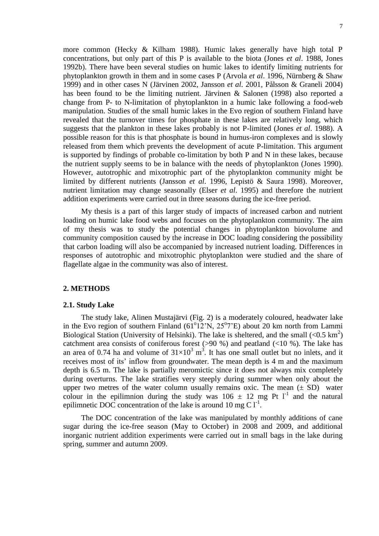more common (Hecky & Kilham 1988). Humic lakes generally have high total P concentrations, but only part of this P is available to the biota (Jones *et al*. 1988, Jones 1992b). There have been several studies on humic lakes to identify limiting nutrients for phytoplankton growth in them and in some cases P (Arvola *et al*. 1996, Nürnberg & Shaw 1999) and in other cases N (Järvinen 2002, Jansson *et al*. 2001, Pålsson & Graneli 2004) has been found to be the limiting nutrient. Järvinen & Salonen (1998) also reported a change from P- to N-limitation of phytoplankton in a humic lake following a food-web manipulation. Studies of the small humic lakes in the Evo region of southern Finland have revealed that the turnover times for phosphate in these lakes are relatively long, which suggests that the plankton in these lakes probably is not P-limited (Jones *et al*. 1988). A possible reason for this is that phosphate is bound in humus-iron complexes and is slowly released from them which prevents the development of acute P-limitation. This argument is supported by findings of probable co-limitation by both P and N in these lakes, because the nutrient supply seems to be in balance with the needs of phytoplankton (Jones 1990). However, autotrophic and mixotrophic part of the phytoplankton community might be limited by different nutrients (Jansson *et al*. 1996, Lepistö & Saura 1998). Moreover, nutrient limitation may change seasonally (Elser *et al*. 1995) and therefore the nutrient addition experiments were carried out in three seasons during the ice-free period.

My thesis is a part of this larger study of impacts of increased carbon and nutrient loading on humic lake food webs and focuses on the phytoplankton community. The aim of my thesis was to study the potential changes in phytoplankton biovolume and community composition caused by the increase in DOC loading considering the possibility that carbon loading will also be accompanied by increased nutrient loading. Differences in responses of autotrophic and mixotrophic phytoplankton were studied and the share of flagellate algae in the community was also of interest.

#### <span id="page-6-1"></span><span id="page-6-0"></span>**2. METHODS**

#### **2.1. Study Lake**

The study lake, Alinen Mustajärvi (Fig. 2) is a moderately coloured, headwater lake in the Evo region of southern Finland  $(61^{\circ}12^{\prime}N, 25^{\circ}7^{\prime}E)$  about 20 km north from Lammi Biological Station (University of Helsinki). The lake is sheltered, and the small  $(< 0.5 \text{ km}^2)$ catchment area consists of coniferous forest ( $>90\%$ ) and peatland ( $<10\%$ ). The lake has an area of 0.74 ha and volume of  $31\times10^3$  m<sup>3</sup>. It has one small outlet but no inlets, and it receives most of its' inflow from groundwater. The mean depth is 4 m and the maximum depth is 6.5 m. The lake is partially meromictic since it does not always mix completely during overturns. The lake stratifies very steeply during summer when only about the upper two metres of the water column usually remains oxic. The mean  $(\pm SD)$  water colour in the epilimnion during the study was  $106 \pm 12$  mg Pt l<sup>-1</sup> and the natural epilimnetic DOC concentration of the lake is around 10 mg C  $1^{-1}$ .

The DOC concentration of the lake was manipulated by monthly additions of cane sugar during the ice-free season (May to October) in 2008 and 2009, and additional inorganic nutrient addition experiments were carried out in small bags in the lake during spring, summer and autumn 2009.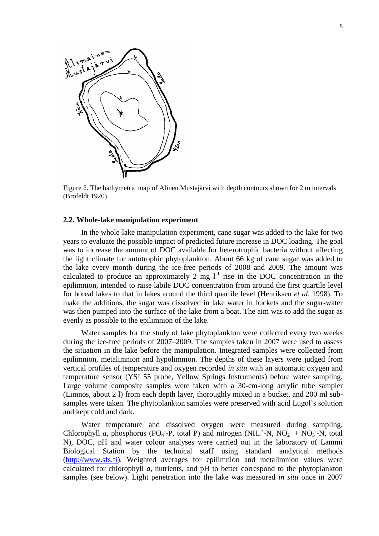

Figure 2. The bathymetric map of Alinen Mustajärvi with depth contours shown for 2 m intervals (Brofeldt 1920).

#### <span id="page-7-0"></span>**2.2. Whole-lake manipulation experiment**

In the whole-lake manipulation experiment, cane sugar was added to the lake for two years to evaluate the possible impact of predicted future increase in DOC loading. The goal was to increase the amount of DOC available for heterotrophic bacteria without affecting the light climate for autotrophic phytoplankton. About 66 kg of cane sugar was added to the lake every month during the ice-free periods of 2008 and 2009. The amount was calculated to produce an approximately  $2 \text{ mg } l^{-1}$  rise in the DOC concentration in the epilimnion, intended to raise labile DOC concentration from around the first quartile level for boreal lakes to that in lakes around the third quartile level (Henriksen *et al*. 1998). To make the additions, the sugar was dissolved in lake water in buckets and the sugar-water was then pumped into the surface of the lake from a boat. The aim was to add the sugar as evenly as possible to the epilimnion of the lake.

Water samples for the study of lake phytoplankton were collected every two weeks during the ice-free periods of 2007–2009. The samples taken in 2007 were used to assess the situation in the lake before the manipulation. Integrated samples were collected from epilimnion, metalimnion and hypolimnion. The depths of these layers were judged from vertical profiles of temperature and oxygen recorded *in situ* with an automatic oxygen and temperature sensor (YSI 55 probe, Yellow Springs Instruments) before water sampling. Large volume composite samples were taken with a 30-cm-long acrylic tube sampler (Limnos, about 2 l) from each depth layer, thoroughly mixed in a bucket, and 200 ml subsamples were taken. The phytoplankton samples were preserved with acid Lugol's solution and kept cold and dark.

Water temperature and dissolved oxygen were measured during sampling. Chlorophyll *a*, phosphorus (PO<sub>4</sub>-P, total P) and nitrogen (NH<sub>4</sub><sup>+</sup>-N, NO<sub>2</sub>+NO<sub>3</sub>-N, total N), DOC, pH and water colour analyses were carried out in the laboratory of Lammi Biological Station by the technical staff using standard analytical methods [\(http://www.sfs.fi\)](http://www.sfs.fi/). Weighted averages for epilimnion and metalimnion values were calculated for chlorophyll *a*, nutrients, and pH to better correspond to the phytoplankton samples (see below). Light penetration into the lake was measured *in situ* once in 2007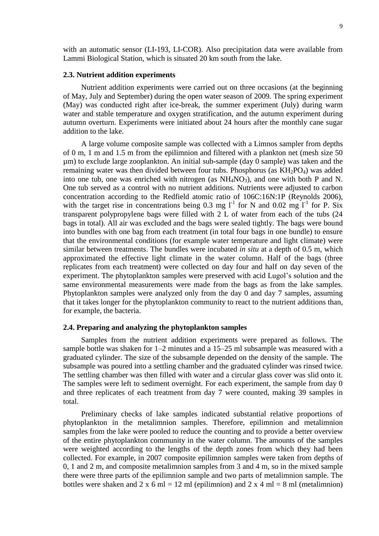with an automatic sensor (LI-193, LI-COR). Also precipitation data were available from Lammi Biological Station, which is situated 20 km south from the lake.

#### <span id="page-8-0"></span>**2.3. Nutrient addition experiments**

Nutrient addition experiments were carried out on three occasions (at the beginning of May, July and September) during the open water season of 2009. The spring experiment (May) was conducted right after ice-break, the summer experiment (July) during warm water and stable temperature and oxygen stratification, and the autumn experiment during autumn overturn. Experiments were initiated about 24 hours after the monthly cane sugar addition to the lake.

A large volume composite sample was collected with a Limnos sampler from depths of 0 m, 1 m and 1.5 m from the epilimnion and filtered with a plankton net (mesh size 50 µm) to exclude large zooplankton. An initial sub-sample (day 0 sample) was taken and the remaining water was then divided between four tubs. Phosphorus (as  $KH_2PO_4$ ) was added into one tub, one was enriched with nitrogen (as  $NH<sub>4</sub>NO<sub>3</sub>$ ), and one with both P and N. One tub served as a control with no nutrient additions. Nutrients were adjusted to carbon concentration according to the Redfield atomic ratio of 106C:16N:1P (Reynolds 2006), with the target rise in concentrations being 0.3 mg  $l^{-1}$  for N and 0.02 mg  $l^{-1}$  for P. Six transparent polypropylene bags were filled with 2 L of water from each of the tubs (24 bags in total). All air was excluded and the bags were sealed tightly. The bags were bound into bundles with one bag from each treatment (in total four bags in one bundle) to ensure that the environmental conditions (for example water temperature and light climate) were similar between treatments. The bundles were incubated *in situ* at a depth of 0.5 m, which approximated the effective light climate in the water column. Half of the bags (three replicates from each treatment) were collected on day four and half on day seven of the experiment. The phytoplankton samples were preserved with acid Lugol's solution and the same environmental measurements were made from the bags as from the lake samples. Phytoplankton samples were analyzed only from the day 0 and day 7 samples, assuming that it takes longer for the phytoplankton community to react to the nutrient additions than, for example, the bacteria.

#### <span id="page-8-1"></span>**2.4. Preparing and analyzing the phytoplankton samples**

Samples from the nutrient addition experiments were prepared as follows. The sample bottle was shaken for 1–2 minutes and a 15–25 ml subsample was measured with a graduated cylinder. The size of the subsample depended on the density of the sample. The subsample was poured into a settling chamber and the graduated cylinder was rinsed twice. The settling chamber was then filled with water and a circular glass cover was slid onto it. The samples were left to sediment overnight. For each experiment, the sample from day 0 and three replicates of each treatment from day 7 were counted, making 39 samples in total.

Preliminary checks of lake samples indicated substantial relative proportions of phytoplankton in the metalimnion samples. Therefore, epilimnion and metalimnion samples from the lake were pooled to reduce the counting and to provide a better overview of the entire phytoplankton community in the water column. The amounts of the samples were weighted according to the lengths of the depth zones from which they had been collected. For example, in 2007 composite epilimnion samples were taken from depths of 0, 1 and 2 m, and composite metalimnion samples from 3 and 4 m, so in the mixed sample there were three parts of the epilimnion sample and two parts of metalimnion sample. The bottles were shaken and 2 x 6 ml = 12 ml (epilimnion) and 2 x 4 ml = 8 ml (metalimnion)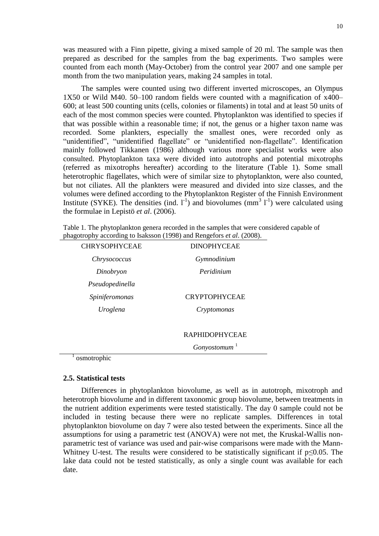was measured with a Finn pipette, giving a mixed sample of 20 ml. The sample was then prepared as described for the samples from the bag experiments. Two samples were counted from each month (May-October) from the control year 2007 and one sample per month from the two manipulation years, making 24 samples in total.

The samples were counted using two different inverted microscopes, an Olympus 1X50 or Wild M40. 50–100 random fields were counted with a magnification of x400– 600; at least 500 counting units (cells, colonies or filaments) in total and at least 50 units of each of the most common species were counted. Phytoplankton was identified to species if that was possible within a reasonable time; if not, the genus or a higher taxon name was recorded. Some plankters, especially the smallest ones, were recorded only as "unidentified", "unidentified flagellate" or "unidentified non-flagellate". Identification mainly followed Tikkanen (1986) although various more specialist works were also consulted. Phytoplankton taxa were divided into autotrophs and potential mixotrophs (referred as mixotrophs hereafter) according to the literature (Table 1). Some small heterotrophic flagellates, which were of similar size to phytoplankton, were also counted, but not ciliates. All the plankters were measured and divided into size classes, and the volumes were defined according to the Phytoplankton Register of the Finnish Environment Institute (SYKE). The densities (ind.  $l^{-1}$ ) and biovolumes (mm<sup>3</sup>  $l^{-1}$ ) were calculated using the formulae in Lepistö *et al*. (2006).

|                                                                       | Table 1. The phytoplankton genera recorded in the samples that were considered capable of |
|-----------------------------------------------------------------------|-------------------------------------------------------------------------------------------|
| phagotrophy according to Isaksson (1998) and Rengefors et al. (2008). |                                                                                           |

| <b>CHRYSOPHYCEAE</b>  | <b>DINOPHYCEAE</b>    |
|-----------------------|-----------------------|
| <i>Chrysococcus</i>   | Gymnodinium           |
| Dinobryon             | Peridinium            |
| Pseudopedinella       |                       |
| <i>Spiniferomonas</i> | <b>CRYPTOPHYCEAE</b>  |
| Uroglena              | Cryptomonas           |
|                       |                       |
|                       | <b>RAPHIDOPHYCEAE</b> |

 $G$ onyostomum<sup>1</sup>

osmotrophic

1

#### <span id="page-9-0"></span>**2.5. Statistical tests**

Differences in phytoplankton biovolume, as well as in autotroph, mixotroph and heterotroph biovolume and in different taxonomic group biovolume, between treatments in the nutrient addition experiments were tested statistically. The day 0 sample could not be included in testing because there were no replicate samples. Differences in total phytoplankton biovolume on day 7 were also tested between the experiments. Since all the assumptions for using a parametric test (ANOVA) were not met, the Kruskal-Wallis nonparametric test of variance was used and pair-wise comparisons were made with the Mann-Whitney U-test. The results were considered to be statistically significant if  $p \le 0.05$ . The lake data could not be tested statistically, as only a single count was available for each date.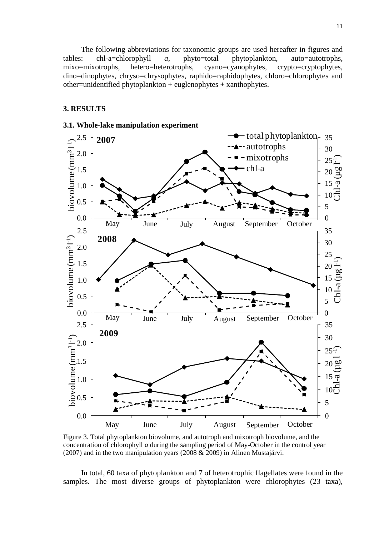The following abbreviations for taxonomic groups are used hereafter in figures and tables: chl-a=chlorophyll *a*, phyto=total phytoplankton, auto=autotrophs, mixo=mixotrophs, hetero=heterotrophs, cyano=cyanophytes, crypto=cryptophytes, dino=dinophytes, chryso=chrysophytes, raphido=raphidophytes, chloro=chlorophytes and other=unidentified phytoplankton + euglenophytes + xanthophytes.

#### <span id="page-10-1"></span><span id="page-10-0"></span>**3. RESULTS**



Figure 3. Total phytoplankton biovolume, and autotroph and mixotroph biovolume, and the concentration of chlorophyll *a* during the sampling period of May-October in the control year (2007) and in the two manipulation years (2008 & 2009) in Alinen Mustajärvi.

In total, 60 taxa of phytoplankton and 7 of heterotrophic flagellates were found in the samples. The most diverse groups of phytoplankton were chlorophytes (23 taxa),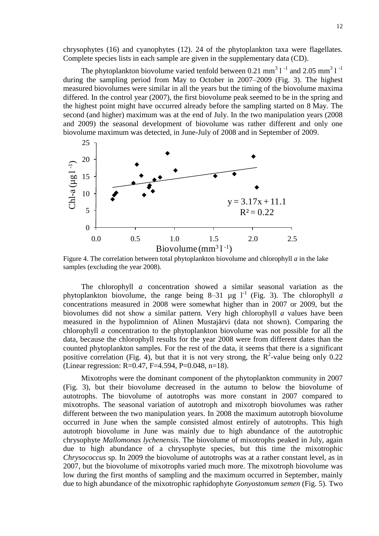chrysophytes (16) and cyanophytes (12). 24 of the phytoplankton taxa were flagellates. Complete species lists in each sample are given in the supplementary data (CD).

The phytoplankton biovolume varied tenfold between 0.21 mm<sup>3</sup> 1<sup>-1</sup> and 2.05 mm<sup>3</sup> 1<sup>-1</sup> during the sampling period from May to October in 2007–2009 (Fig. 3). The highest measured biovolumes were similar in all the years but the timing of the biovolume maxima differed. In the control year (2007), the first biovolume peak seemed to be in the spring and the highest point might have occurred already before the sampling started on 8 May. The second (and higher) maximum was at the end of July. In the two manipulation years (2008 and 2009) the seasonal development of biovolume was rather different and only one biovolume maximum was detected, in June-July of 2008 and in September of 2009.



Figure 4. The correlation between total phytoplankton biovolume and chlorophyll *a* in the lake samples (excluding the year 2008).

The chlorophyll *a* concentration showed a similar seasonal variation as the phytoplankton biovolume, the range being  $8-31 \mu g l^{-1}$  (Fig. 3). The chlorophyll *a* concentrations measured in 2008 were somewhat higher than in 2007 or 2009, but the biovolumes did not show a similar pattern. Very high chlorophyll *a* values have been measured in the hypolimnion of Alinen Mustajärvi (data not shown). Comparing the chlorophyll *a* concentration to the phytoplankton biovolume was not possible for all the data, because the chlorophyll results for the year 2008 were from different dates than the counted phytoplankton samples. For the rest of the data, it seems that there is a significant positive correlation (Fig. 4), but that it is not very strong, the  $R^2$ -value being only 0.22 (Linear regression: R=0.47, F=4.594, P=0.048, n=18).

Mixotrophs were the dominant component of the phytoplankton community in 2007 (Fig. 3), but their biovolume decreased in the autumn to below the biovolume of autotrophs. The biovolume of autotrophs was more constant in 2007 compared to mixotrophs. The seasonal variation of autotroph and mixotroph biovolumes was rather different between the two manipulation years. In 2008 the maximum autotroph biovolume occurred in June when the sample consisted almost entirely of autotrophs. This high autotroph biovolume in June was mainly due to high abundance of the autotrophic chrysophyte *Mallomonas lychenensis*. The biovolume of mixotrophs peaked in July, again due to high abundance of a chrysophyte species, but this time the mixotrophic *Chrysococcus* sp. In 2009 the biovolume of autotrophs was at a rather constant level, as in 2007, but the biovolume of mixotrophs varied much more. The mixotroph biovolume was low during the first months of sampling and the maximum occurred in September, mainly due to high abundance of the mixotrophic raphidophyte *Gonyostomum semen* (Fig. 5). Two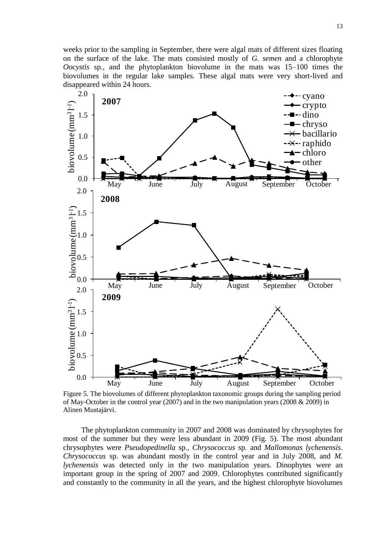weeks prior to the sampling in September, there were algal mats of different sizes floating on the surface of the lake. The mats consisted mostly of *G. semen* and a chlorophyte *Oocystis* sp., and the phytoplankton biovolume in the mats was 15–100 times the biovolumes in the regular lake samples. These algal mats were very short-lived and disappeared within 24 hours.



Figure 5. The biovolumes of different phytoplankton taxonomic groups during the sampling period of May-October in the control year (2007) and in the two manipulation years (2008  $& 2009$ ) in Alinen Mustajärvi.

The phytoplankton community in 2007 and 2008 was dominated by chrysophytes for most of the summer but they were less abundant in 2009 (Fig. 5). The most abundant chrysophytes were *Pseudopedinella* sp., *Chrysococcus* sp. and *Mallomonas lychenensis*. *Chrysococcus* sp. was abundant mostly in the control year and in July 2008, and *M. lychenensis* was detected only in the two manipulation years. Dinophytes were an important group in the spring of 2007 and 2009. Chlorophytes contributed significantly and constantly to the community in all the years, and the highest chlorophyte biovolumes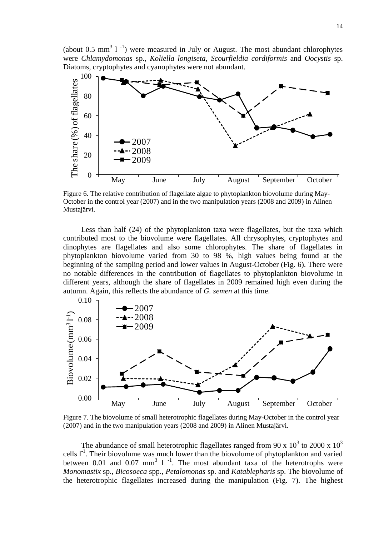(about 0.5 mm<sup>3</sup> 1<sup>-1</sup>) were measured in July or August. The most abundant chlorophytes were *Chlamydomonas* sp., *Koliella longiseta*, *Scourfieldia cordiformis* and *Oocystis* sp. Diatoms, cryptophytes and cyanophytes were not abundant.



Figure 6. The relative contribution of flagellate algae to phytoplankton biovolume during May-October in the control year (2007) and in the two manipulation years (2008 and 2009) in Alinen Mustajärvi.

Less than half (24) of the phytoplankton taxa were flagellates, but the taxa which contributed most to the biovolume were flagellates. All chrysophytes, cryptophytes and dinophytes are flagellates and also some chlorophytes. The share of flagellates in phytoplankton biovolume varied from 30 to 98 %, high values being found at the beginning of the sampling period and lower values in August-October (Fig. 6). There were no notable differences in the contribution of flagellates to phytoplankton biovolume in different years, although the share of flagellates in 2009 remained high even during the autumn. Again, this reflects the abundance of *G. semen* at this time.



Figure 7. The biovolume of small heterotrophic flagellates during May-October in the control year (2007) and in the two manipulation years (2008 and 2009) in Alinen Mustajärvi.

The abundance of small heterotrophic flagellates ranged from 90 x  $10^3$  to 2000 x  $10^3$ cells  $I<sup>-1</sup>$ . Their biovolume was much lower than the biovolume of phytoplankton and varied between 0.01 and 0.07 mm<sup>3</sup> 1<sup>-1</sup>. The most abundant taxa of the heterotrophs were *Monomastix* sp., *Bicosoeca* spp., *Petalomonas* sp. and *Katablepharis* sp. The biovolume of the heterotrophic flagellates increased during the manipulation (Fig. 7). The highest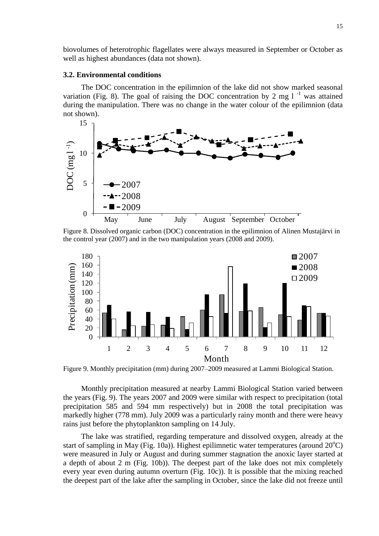biovolumes of heterotrophic flagellates were always measured in September or October as well as highest abundances (data not shown).

#### <span id="page-14-0"></span>**3.2. Environmental conditions**

The DOC concentration in the epilimnion of the lake did not show marked seasonal variation (Fig. 8). The goal of raising the DOC concentration by 2 mg  $1^{-1}$  was attained during the manipulation. There was no change in the water colour of the epilimnion (data not shown).



Figure 8. Dissolved organic carbon (DOC) concentration in the epilimnion of Alinen Mustajärvi in the control year (2007) and in the two manipulation years (2008 and 2009).



Figure 9. Monthly precipitation (mm) during 2007–2009 measured at Lammi Biological Station.

Monthly precipitation measured at nearby Lammi Biological Station varied between the years (Fig. 9). The years 2007 and 2009 were similar with respect to precipitation (total precipitation 585 and 594 mm respectively) but in 2008 the total precipitation was markedly higher (778 mm). July 2009 was a particularly rainy month and there were heavy rains just before the phytoplankton sampling on 14 July.

The lake was stratified, regarding temperature and dissolved oxygen, already at the start of sampling in May (Fig. 10a)). Highest epilimnetic water temperatures (around  $20^{\circ}$ C) were measured in July or August and during summer stagnation the anoxic layer started at a depth of about 2 m (Fig. 10b)). The deepest part of the lake does not mix completely every year even during autumn overturn (Fig. 10c)). It is possible that the mixing reached the deepest part of the lake after the sampling in October, since the lake did not freeze until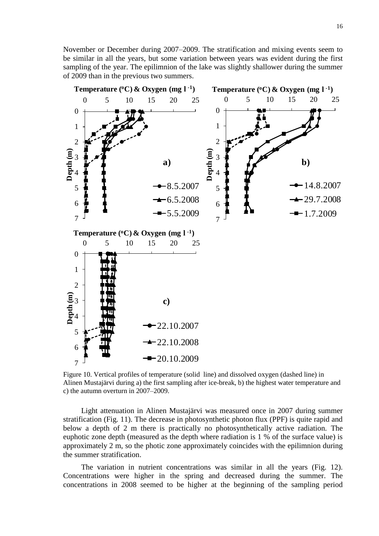November or December during 2007–2009. The stratification and mixing events seem to be similar in all the years, but some variation between years was evident during the first sampling of the year. The epilimnion of the lake was slightly shallower during the summer of 2009 than in the previous two summers.



Figure 10. Vertical profiles of temperature (solid line) and dissolved oxygen (dashed line) in Alinen Mustajärvi during a) the first sampling after ice-break, b) the highest water temperature and c) the autumn overturn in 2007–2009.

Light attenuation in Alinen Mustajärvi was measured once in 2007 during summer stratification (Fig. 11). The decrease in photosynthetic photon flux (PPF) is quite rapid and below a depth of 2 m there is practically no photosynthetically active radiation. The euphotic zone depth (measured as the depth where radiation is 1 % of the surface value) is approximately 2 m, so the photic zone approximately coincides with the epilimnion during the summer stratification.

The variation in nutrient concentrations was similar in all the years (Fig. 12). Concentrations were higher in the spring and decreased during the summer. The concentrations in 2008 seemed to be higher at the beginning of the sampling period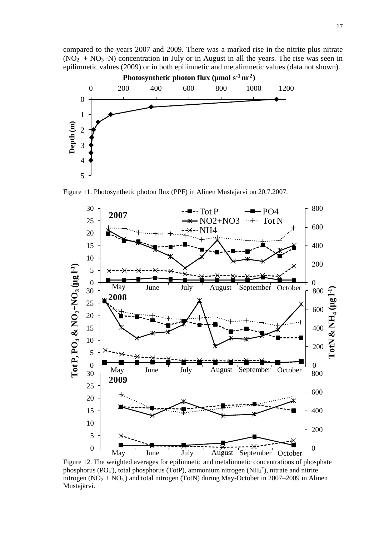compared to the years 2007 and 2009. There was a marked rise in the nitrite plus nitrate  $(NO<sub>2</sub><sup>-</sup> + NO<sub>3</sub><sup>-</sup>N)$  concentration in July or in August in all the years. The rise was seen in epilimnetic values (2009) or in both epilimnetic and metalimnetic values (data not shown). **Photosynthetic photon flux (µmol** s<sup>1</sup> **n e photosynthetic photon flux (µmol s<sup>-1</sup> m<sup>-2</sup>** 



Figure 11. Photosynthetic photon flux (PPF) in Alinen Mustajärvi on 20.7.2007.



Figure 12. The weighted averages for epilimnetic and metalimnetic concentrations of phosphate phosphorus (PO<sub>4</sub>), total phosphorus (TotP), ammonium nitrogen (NH<sub>4</sub><sup>+</sup>), nitrate and nitrite nitrogen  $(NO<sub>2</sub> + NO<sub>3</sub>)$  and total nitrogen (TotN) during May-October in 2007–2009 in Alinen Mustajärvi.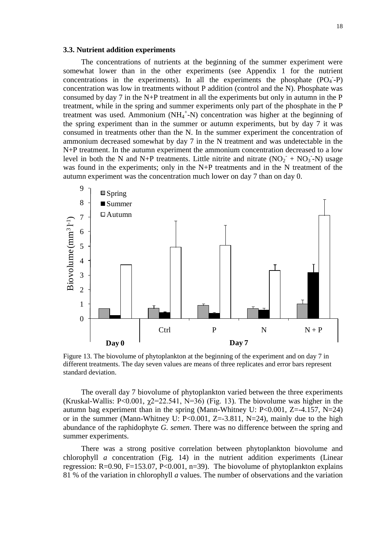#### <span id="page-17-0"></span>**3.3. Nutrient addition experiments**

The concentrations of nutrients at the beginning of the summer experiment were somewhat lower than in the other experiments (see Appendix 1 for the nutrient concentrations in the experiments). In all the experiments the phosphate  $(PO<sub>4</sub>-P)$ concentration was low in treatments without P addition (control and the N). Phosphate was consumed by day 7 in the N+P treatment in all the experiments but only in autumn in the P treatment, while in the spring and summer experiments only part of the phosphate in the P treatment was used. Ammonium  $(NH_4^+N)$  concentration was higher at the beginning of the spring experiment than in the summer or autumn experiments, but by day 7 it was consumed in treatments other than the N. In the summer experiment the concentration of ammonium decreased somewhat by day 7 in the N treatment and was undetectable in the N+P treatment. In the autumn experiment the ammonium concentration decreased to a low level in both the N and N+P treatments. Little nitrite and nitrate  $(NO<sub>2</sub><sup>-</sup> + NO<sub>3</sub><sup>-</sup>-N)$  usage was found in the experiments; only in the N+P treatments and in the N treatment of the autumn experiment was the concentration much lower on day 7 than on day 0.



Figure 13. The biovolume of phytoplankton at the beginning of the experiment and on day 7 in different treatments. The day seven values are means of three replicates and error bars represent standard deviation.

The overall day 7 biovolume of phytoplankton varied between the three experiments (Kruskal-Wallis: P<0.001,  $\gamma$ 2=22.541, N=36) (Fig. 13). The biovolume was higher in the autumn bag experiment than in the spring (Mann-Whitney U:  $P<0.001$ ,  $Z=-4.157$ ,  $N=24$ ) or in the summer (Mann-Whitney U: P<0.001, Z=-3.811, N=24), mainly due to the high abundance of the raphidophyte *G. semen*. There was no difference between the spring and summer experiments.

There was a strong positive correlation between phytoplankton biovolume and chlorophyll *a* concentration (Fig. 14) in the nutrient addition experiments (Linear regression:  $R=0.90$ ,  $F=153.07$ ,  $P<0.001$ ,  $n=39$ ). The biovolume of phytoplankton explains 81 % of the variation in chlorophyll *a* values. The number of observations and the variation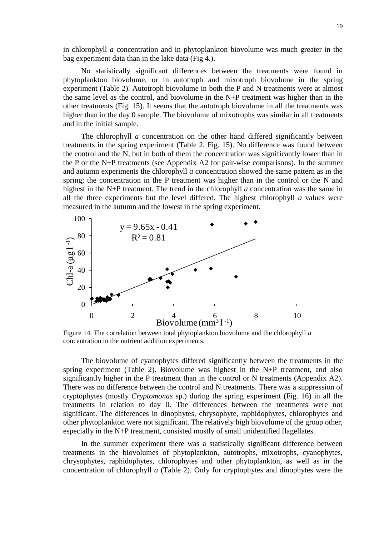in chlorophyll *a* concentration and in phytoplankton biovolume was much greater in the bag experiment data than in the lake data (Fig 4.).

No statistically significant differences between the treatments were found in phytoplankton biovolume, or in autotroph and mixotroph biovolume in the spring experiment (Table 2). Autotroph biovolume in both the P and N treatments were at almost the same level as the control, and biovolume in the N+P treatment was higher than in the other treatments (Fig. 15). It seems that the autotroph biovolume in all the treatments was higher than in the day 0 sample. The biovolume of mixotrophs was similar in all treatments and in the initial sample.

The chlorophyll *a* concentration on the other hand differed significantly between treatments in the spring experiment (Table 2, Fig. 15). No difference was found between the control and the N, but in both of them the concentration was significantly lower than in the P or the N+P treatments (see Appendix A2 for pair-wise comparisons). In the summer and autumn experiments the chlorophyll *a* concentration showed the same pattern as in the spring; the concentration in the P treatment was higher than in the control or the N and highest in the N+P treatment. The trend in the chlorophyll *a* concentration was the same in all the three experiments but the level differed. The highest chlorophyll *a* values were measured in the autumn and the lowest in the spring experiment.



Figure 14. The correlation between total phytoplankton biovolume and the chlorophyll *a* concentration in the nutrient addition experiments.

The biovolume of cyanophytes differed significantly between the treatments in the spring experiment (Table 2). Biovolume was highest in the N+P treatment, and also significantly higher in the P treatment than in the control or N treatments (Appendix A2). There was no difference between the control and N treatments. There was a suppression of cryptophytes (mostly *Cryptomonas* sp.) during the spring experiment (Fig. 16) in all the treatments in relation to day 0. The differences between the treatments were not significant. The differences in dinophytes, chrysophyte, raphidophytes, chlorophytes and other phytoplankton were not significant. The relatively high biovolume of the group other, especially in the N+P treatment, consisted mostly of small unidentified flagellates.

In the summer experiment there was a statistically significant difference between treatments in the biovolumes of phytoplankton, autotrophs, mixotrophs, cyanophytes, chrysophytes, raphidophytes, chlorophytes and other phytoplankton, as well as in the concentration of chlorophyll *a* (Table 2). Only for cryptophytes and dinophytes were the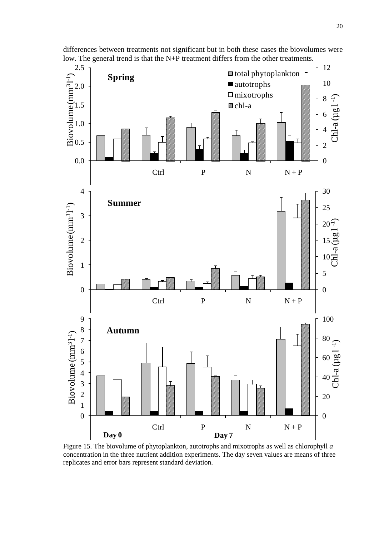

differences between treatments not significant but in both these cases the biovolumes were low. The general trend is that the N+P treatment differs from the other treatments.

Figure 15. The biovolume of phytoplankton, autotrophs and mixotrophs as well as chlorophyll *a* concentration in the three nutrient addition experiments. The day seven values are means of three replicates and error bars represent standard deviation.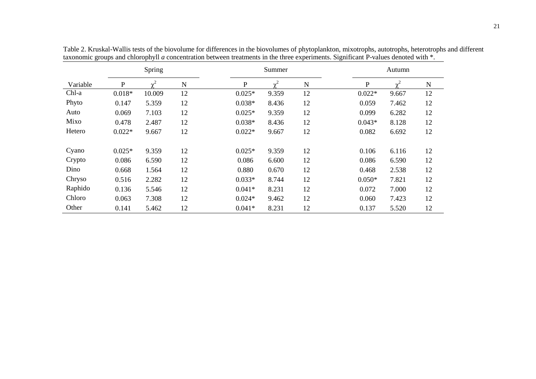|          |          | Spring         |             |              | Summer         |    |          | Autumn         |    |
|----------|----------|----------------|-------------|--------------|----------------|----|----------|----------------|----|
| Variable | P        | $\mathbf{v}^2$ | $\mathbf N$ | $\mathbf{P}$ | $\mathbf{v}^2$ | N  | P        | $\mathbf{v}^2$ | N  |
| Chl-a    | $0.018*$ | 10.009         | 12          | $0.025*$     | 9.359          | 12 | $0.022*$ | 9.667          | 12 |
| Phyto    | 0.147    | 5.359          | 12          | $0.038*$     | 8.436          | 12 | 0.059    | 7.462          | 12 |
| Auto     | 0.069    | 7.103          | 12          | $0.025*$     | 9.359          | 12 | 0.099    | 6.282          | 12 |
| Mixo     | 0.478    | 2.487          | 12          | $0.038*$     | 8.436          | 12 | $0.043*$ | 8.128          | 12 |
| Hetero   | $0.022*$ | 9.667          | 12          | $0.022*$     | 9.667          | 12 | 0.082    | 6.692          | 12 |
| Cyano    | $0.025*$ | 9.359          | 12          | $0.025*$     | 9.359          | 12 | 0.106    | 6.116          | 12 |
| Crypto   | 0.086    | 6.590          | 12          | 0.086        | 6.600          | 12 | 0.086    | 6.590          | 12 |
| Dino     | 0.668    | 1.564          | 12          | 0.880        | 0.670          | 12 | 0.468    | 2.538          | 12 |
| Chryso   | 0.516    | 2.282          | 12          | $0.033*$     | 8.744          | 12 | $0.050*$ | 7.821          | 12 |
| Raphido  | 0.136    | 5.546          | 12          | $0.041*$     | 8.231          | 12 | 0.072    | 7.000          | 12 |
| Chloro   | 0.063    | 7.308          | 12          | $0.024*$     | 9.462          | 12 | 0.060    | 7.423          | 12 |
| Other    | 0.141    | 5.462          | 12          | $0.041*$     | 8.231          | 12 | 0.137    | 5.520          | 12 |

Table 2. Kruskal-Wallis tests of the biovolume for differences in the biovolumes of phytoplankton, mixotrophs, autotrophs, heterotrophs and different taxonomic groups and chlorophyll *a* concentration between treatments in the three experiments. Significant P-values denoted with \*.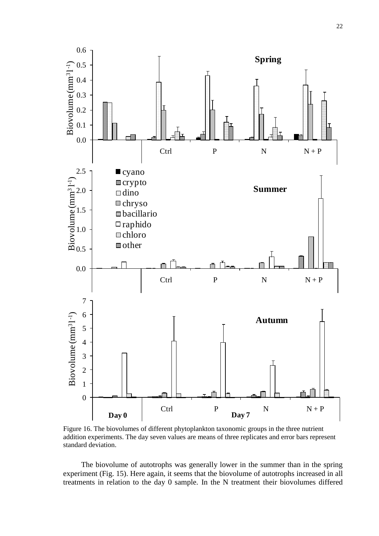

Figure 16. The biovolumes of different phytoplankton taxonomic groups in the three nutrient addition experiments. The day seven values are means of three replicates and error bars represent standard deviation.

The biovolume of autotrophs was generally lower in the summer than in the spring experiment (Fig. 15). Here again, it seems that the biovolume of autotrophs increased in all treatments in relation to the day 0 sample. In the N treatment their biovolumes differed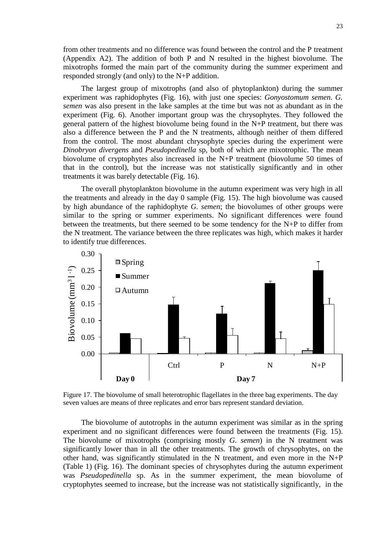from other treatments and no difference was found between the control and the P treatment (Appendix A2). The addition of both P and N resulted in the highest biovolume. The mixotrophs formed the main part of the community during the summer experiment and responded strongly (and only) to the N+P addition.

The largest group of mixotrophs (and also of phytoplankton) during the summer experiment was raphidophytes (Fig. 16), with just one species: *Gonyostomum semen*. *G. semen* was also present in the lake samples at the time but was not as abundant as in the experiment (Fig. 6). Another important group was the chrysophytes. They followed the general pattern of the highest biovolume being found in the N+P treatment, but there was also a difference between the P and the N treatments, although neither of them differed from the control. The most abundant chrysophyte species during the experiment were *Dinobryon divergens* and *Pseudopedinella* sp, both of which are mixotrophic. The mean biovolume of cryptophytes also increased in the N+P treatment (biovolume 50 times of that in the control), but the increase was not statistically significantly and in other treatments it was barely detectable (Fig. 16).

The overall phytoplankton biovolume in the autumn experiment was very high in all the treatments and already in the day 0 sample (Fig. 15). The high biovolume was caused by high abundance of the raphidophyte *G. semen*; the biovolumes of other groups were similar to the spring or summer experiments. No significant differences were found between the treatments, but there seemed to be some tendency for the N+P to differ from the N treatment. The variance between the three replicates was high, which makes it harder to identify true differences.



Figure 17. The biovolume of small heterotrophic flagellates in the three bag experiments. The day seven values are means of three replicates and error bars represent standard deviation.

The biovolume of autotrophs in the autumn experiment was similar as in the spring experiment and no significant differences were found between the treatments (Fig. 15). The biovolume of mixotrophs (comprising mostly *G. semen*) in the N treatment was significantly lower than in all the other treatments. The growth of chrysophytes, on the other hand, was significantly stimulated in the N treatment, and even more in the N+P (Table 1) (Fig. 16). The dominant species of chrysophytes during the autumn experiment was *Pseudopedinella* sp. As in the summer experiment, the mean biovolume of cryptophytes seemed to increase, but the increase was not statistically significantly, in the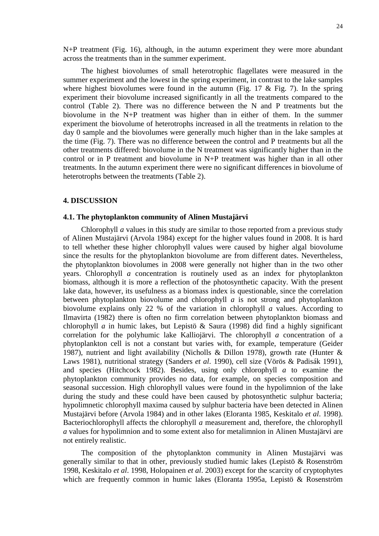N+P treatment (Fig. 16), although, in the autumn experiment they were more abundant across the treatments than in the summer experiment.

The highest biovolumes of small heterotrophic flagellates were measured in the summer experiment and the lowest in the spring experiment, in contrast to the lake samples where highest biovolumes were found in the autumn (Fig. 17  $\&$  Fig. 7). In the spring experiment their biovolume increased significantly in all the treatments compared to the control (Table 2). There was no difference between the N and P treatments but the biovolume in the N+P treatment was higher than in either of them. In the summer experiment the biovolume of heterotrophs increased in all the treatments in relation to the day 0 sample and the biovolumes were generally much higher than in the lake samples at the time (Fig. 7). There was no difference between the control and P treatments but all the other treatments differed: biovolume in the N treatment was significantly higher than in the control or in P treatment and biovolume in N+P treatment was higher than in all other treatments. In the autumn experiment there were no significant differences in biovolume of heterotrophs between the treatments (Table 2).

#### <span id="page-23-1"></span><span id="page-23-0"></span>**4. DISCUSSION**

#### **4.1. The phytoplankton community of Alinen Mustajärvi**

Chlorophyll *a* values in this study are similar to those reported from a previous study of Alinen Mustajärvi (Arvola 1984) except for the higher values found in 2008. It is hard to tell whether these higher chlorophyll values were caused by higher algal biovolume since the results for the phytoplankton biovolume are from different dates. Nevertheless, the phytoplankton biovolumes in 2008 were generally not higher than in the two other years. Chlorophyll *a* concentration is routinely used as an index for phytoplankton biomass, although it is more a reflection of the photosynthetic capacity. With the present lake data, however, its usefulness as a biomass index is questionable, since the correlation between phytoplankton biovolume and chlorophyll *a* is not strong and phytoplankton biovolume explains only 22 % of the variation in chlorophyll *a* values. According to Ilmavirta (1982) there is often no firm correlation between phytoplankton biomass and chlorophyll *a* in humic lakes, but Lepistö & Saura (1998) did find a highly significant correlation for the polyhumic lake Kalliojärvi. The chlorophyll *a* concentration of a phytoplankton cell is not a constant but varies with, for example, temperature (Geider 1987), nutrient and light availability (Nicholls & Dillon 1978), growth rate (Hunter & Laws 1981), nutritional strategy (Sanders *et al*. 1990), cell size (Vörös & Padisák 1991), and species (Hitchcock 1982). Besides, using only chlorophyll *a* to examine the phytoplankton community provides no data, for example, on species composition and seasonal succession. High chlorophyll values were found in the hypolimnion of the lake during the study and these could have been caused by photosynthetic sulphur bacteria; hypolimnetic chlorophyll maxima caused by sulphur bacteria have been detected in Alinen Mustajärvi before (Arvola 1984) and in other lakes (Eloranta 1985, Keskitalo *et al*. 1998). Bacteriochlorophyll affects the chlorophyll *a* measurement and, therefore, the chlorophyll *a* values for hypolimnion and to some extent also for metalimnion in Alinen Mustajärvi are not entirely realistic.

The composition of the phytoplankton community in Alinen Mustajärvi was generally similar to that in other, previously studied humic lakes (Lepistö & Rosenström 1998, Keskitalo *et al*. 1998, Holopainen *et al*. 2003) except for the scarcity of cryptophytes which are frequently common in humic lakes (Eloranta 1995a, Lepistö & Rosenström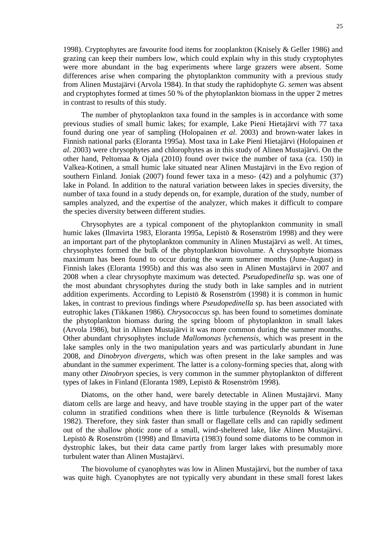1998). Cryptophytes are favourite food items for zooplankton (Knisely & Geller 1986) and grazing can keep their numbers low, which could explain why in this study cryptophytes were more abundant in the bag experiments where large grazers were absent. Some differences arise when comparing the phytoplankton community with a previous study from Alinen Mustajärvi (Arvola 1984). In that study the raphidophyte *G. semen* was absent and cryptophytes formed at times 50 % of the phytoplankton biomass in the upper 2 metres in contrast to results of this study.

The number of phytoplankton taxa found in the samples is in accordance with some previous studies of small humic lakes; for example, Lake Pieni Hietajärvi with 77 taxa found during one year of sampling (Holopainen *et al*. 2003) and brown-water lakes in Finnish national parks (Eloranta 1995a). Most taxa in Lake Pieni Hietajärvi (Holopainen *et al*. 2003) were chrysophytes and chlorophytes as in this study of Alinen Mustajärvi. On the other hand, Peltomaa & Ojala (2010) found over twice the number of taxa (ca. 150) in Valkea-Kotinen, a small humic lake situated near Alinen Mustajärvi in the Evo region of southern Finland. Joniak (2007) found fewer taxa in a meso- (42) and a polyhumic (37) lake in Poland. In addition to the natural variation between lakes in species diversity, the number of taxa found in a study depends on, for example, duration of the study, number of samples analyzed, and the expertise of the analyzer, which makes it difficult to compare the species diversity between different studies.

Chrysophytes are a typical component of the phytoplankton community in small humic lakes (Ilmavirta 1983, Eloranta 1995a, Lepistö & Rosenström 1998) and they were an important part of the phytoplankton community in Alinen Mustajärvi as well. At times, chrysophytes formed the bulk of the phytoplankton biovolume. A chrysophyte biomass maximum has been found to occur during the warm summer months (June-August) in Finnish lakes (Eloranta 1995b) and this was also seen in Alinen Mustajärvi in 2007 and 2008 when a clear chrysophyte maximum was detected. *Pseudopedinella* sp. was one of the most abundant chrysophytes during the study both in lake samples and in nutrient addition experiments. According to Lepistö & Rosenström (1998) it is common in humic lakes, in contrast to previous findings where *Pseudopedinella* sp. has been associated with eutrophic lakes (Tikkanen 1986). *Chrysococcus* sp. has been found to sometimes dominate the phytoplankton biomass during the spring bloom of phytoplankton in small lakes (Arvola 1986), but in Alinen Mustajärvi it was more common during the summer months. Other abundant chrysophytes include *Mallomonas lychenensis,* which was present in the lake samples only in the two manipulation years and was particularly abundant in June 2008, and *Dinobryon divergens,* which was often present in the lake samples and was abundant in the summer experiment. The latter is a colony-forming species that, along with many other *Dinobryon* species, is very common in the summer phytoplankton of different types of lakes in Finland (Eloranta 1989, Lepistö & Rosenström 1998).

Diatoms, on the other hand, were barely detectable in Alinen Mustajärvi. Many diatom cells are large and heavy, and have trouble staying in the upper part of the water column in stratified conditions when there is little turbulence (Reynolds & Wiseman 1982). Therefore, they sink faster than small or flagellate cells and can rapidly sediment out of the shallow photic zone of a small, wind-sheltered lake, like Alinen Mustajärvi. Lepistö & Rosenström (1998) and Ilmavirta (1983) found some diatoms to be common in dystrophic lakes, but their data came partly from larger lakes with presumably more turbulent water than Alinen Mustajärvi.

The biovolume of cyanophytes was low in Alinen Mustajärvi, but the number of taxa was quite high. Cyanophytes are not typically very abundant in these small forest lakes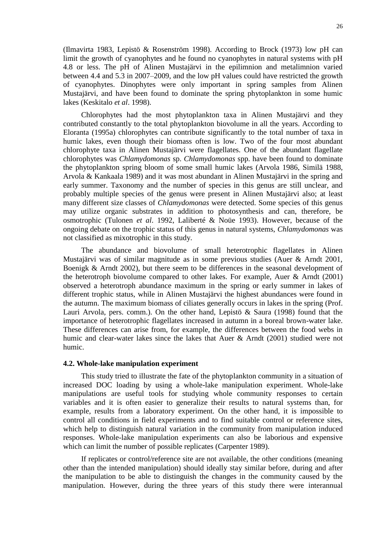(Ilmavirta 1983, Lepistö & Rosenström 1998). According to Brock (1973) low pH can limit the growth of cyanophytes and he found no cyanophytes in natural systems with pH 4.8 or less. The pH of Alinen Mustajärvi in the epilimnion and metalimnion varied between 4.4 and 5.3 in 2007–2009, and the low pH values could have restricted the growth of cyanophytes. Dinophytes were only important in spring samples from Alinen Mustajärvi, and have been found to dominate the spring phytoplankton in some humic lakes (Keskitalo *et al*. 1998).

Chlorophytes had the most phytoplankton taxa in Alinen Mustajärvi and they contributed constantly to the total phytoplankton biovolume in all the years. According to Eloranta (1995a) chlorophytes can contribute significantly to the total number of taxa in humic lakes, even though their biomass often is low. Two of the four most abundant chlorophyte taxa in Alinen Mustajärvi were flagellates. One of the abundant flagellate chlorophytes was *Chlamydomonas* sp. *Chlamydomonas* spp. have been found to dominate the phytoplankton spring bloom of some small humic lakes (Arvola 1986, Similä 1988, Arvola & Kankaala 1989) and it was most abundant in Alinen Mustajärvi in the spring and early summer. Taxonomy and the number of species in this genus are still unclear, and probably multiple species of the genus were present in Alinen Mustajärvi also; at least many different size classes of *Chlamydomonas* were detected. Some species of this genus may utilize organic substrates in addition to photosynthesis and can, therefore, be osmotrophic (Tulonen *et al*. 1992, Laliberté & Noüe 1993). However, because of the ongoing debate on the trophic status of this genus in natural systems, *Chlamydomonas* was not classified as mixotrophic in this study.

The abundance and biovolume of small heterotrophic flagellates in Alinen Mustajärvi was of similar magnitude as in some previous studies (Auer & Arndt 2001, Boenigk & Arndt 2002), but there seem to be differences in the seasonal development of the heterotroph biovolume compared to other lakes. For example, Auer & Arndt (2001) observed a heterotroph abundance maximum in the spring or early summer in lakes of different trophic status, while in Alinen Mustajärvi the highest abundances were found in the autumn. The maximum biomass of ciliates generally occurs in lakes in the spring (Prof. Lauri Arvola, pers. comm.). On the other hand, Lepistö & Saura (1998) found that the importance of heterotrophic flagellates increased in autumn in a boreal brown-water lake. These differences can arise from, for example, the differences between the food webs in humic and clear-water lakes since the lakes that Auer & Arndt (2001) studied were not humic.

#### <span id="page-25-0"></span>**4.2. Whole-lake manipulation experiment**

This study tried to illustrate the fate of the phytoplankton community in a situation of increased DOC loading by using a whole-lake manipulation experiment. Whole-lake manipulations are useful tools for studying whole community responses to certain variables and it is often easier to generalize their results to natural systems than, for example, results from a laboratory experiment. On the other hand, it is impossible to control all conditions in field experiments and to find suitable control or reference sites, which help to distinguish natural variation in the community from manipulation induced responses. Whole-lake manipulation experiments can also be laborious and expensive which can limit the number of possible replicates (Carpenter 1989).

If replicates or control/reference site are not available, the other conditions (meaning other than the intended manipulation) should ideally stay similar before, during and after the manipulation to be able to distinguish the changes in the community caused by the manipulation. However, during the three years of this study there were interannual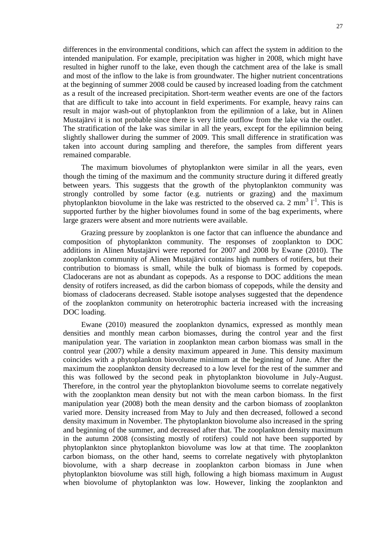differences in the environmental conditions, which can affect the system in addition to the intended manipulation. For example, precipitation was higher in 2008, which might have resulted in higher runoff to the lake, even though the catchment area of the lake is small and most of the inflow to the lake is from groundwater. The higher nutrient concentrations at the beginning of summer 2008 could be caused by increased loading from the catchment as a result of the increased precipitation. Short-term weather events are one of the factors that are difficult to take into account in field experiments. For example, heavy rains can result in major wash-out of phytoplankton from the epilimnion of a lake, but in Alinen Mustajärvi it is not probable since there is very little outflow from the lake via the outlet. The stratification of the lake was similar in all the years, except for the epilimnion being slightly shallower during the summer of 2009. This small difference in stratification was taken into account during sampling and therefore, the samples from different years remained comparable.

The maximum biovolumes of phytoplankton were similar in all the years, even though the timing of the maximum and the community structure during it differed greatly between years. This suggests that the growth of the phytoplankton community was strongly controlled by some factor (e.g. nutrients or grazing) and the maximum phytoplankton biovolume in the lake was restricted to the observed ca. 2 mm<sup>3</sup>  $1^{-1}$ . This is supported further by the higher biovolumes found in some of the bag experiments, where large grazers were absent and more nutrients were available.

Grazing pressure by zooplankton is one factor that can influence the abundance and composition of phytoplankton community. The responses of zooplankton to DOC additions in Alinen Mustajärvi were reported for 2007 and 2008 by Ewane (2010). The zooplankton community of Alinen Mustajärvi contains high numbers of rotifers, but their contribution to biomass is small, while the bulk of biomass is formed by copepods. Cladocerans are not as abundant as copepods. As a response to DOC additions the mean density of rotifers increased, as did the carbon biomass of copepods, while the density and biomass of cladocerans decreased. Stable isotope analyses suggested that the dependence of the zooplankton community on heterotrophic bacteria increased with the increasing DOC loading.

Ewane (2010) measured the zooplankton dynamics, expressed as monthly mean densities and monthly mean carbon biomasses, during the control year and the first manipulation year. The variation in zooplankton mean carbon biomass was small in the control year (2007) while a density maximum appeared in June. This density maximum coincides with a phytoplankton biovolume minimum at the beginning of June. After the maximum the zooplankton density decreased to a low level for the rest of the summer and this was followed by the second peak in phytoplankton biovolume in July-August. Therefore, in the control year the phytoplankton biovolume seems to correlate negatively with the zooplankton mean density but not with the mean carbon biomass. In the first manipulation year (2008) both the mean density and the carbon biomass of zooplankton varied more. Density increased from May to July and then decreased, followed a second density maximum in November. The phytoplankton biovolume also increased in the spring and beginning of the summer, and decreased after that. The zooplankton density maximum in the autumn 2008 (consisting mostly of rotifers) could not have been supported by phytoplankton since phytoplankton biovolume was low at that time. The zooplankton carbon biomass, on the other hand, seems to correlate negatively with phytoplankton biovolume, with a sharp decrease in zooplankton carbon biomass in June when phytoplankton biovolume was still high, following a high biomass maximum in August when biovolume of phytoplankton was low. However, linking the zooplankton and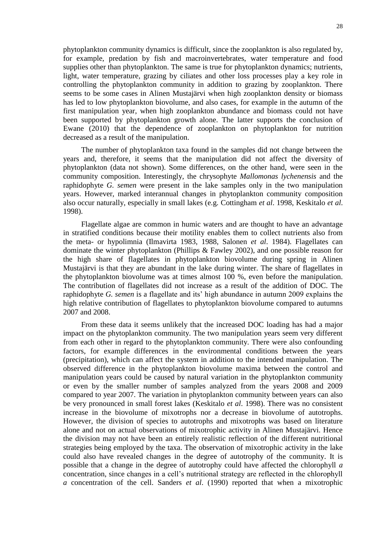phytoplankton community dynamics is difficult, since the zooplankton is also regulated by, for example, predation by fish and macroinvertebrates, water temperature and food supplies other than phytoplankton. The same is true for phytoplankton dynamics; nutrients, light, water temperature, grazing by ciliates and other loss processes play a key role in controlling the phytoplankton community in addition to grazing by zooplankton. There seems to be some cases in Alinen Mustajärvi when high zooplankton density or biomass has led to low phytoplankton biovolume, and also cases, for example in the autumn of the first manipulation year, when high zooplankton abundance and biomass could not have been supported by phytoplankton growth alone. The latter supports the conclusion of Ewane (2010) that the dependence of zooplankton on phytoplankton for nutrition decreased as a result of the manipulation.

The number of phytoplankton taxa found in the samples did not change between the years and, therefore, it seems that the manipulation did not affect the diversity of phytoplankton (data not shown). Some differences, on the other hand, were seen in the community composition. Interestingly, the chrysophyte *Mallomonas lychenensis* and the raphidophyte *G. semen* were present in the lake samples only in the two manipulation years. However, marked interannual changes in phytoplankton community composition also occur naturally, especially in small lakes (e.g. Cottingham *et al*. 1998, Keskitalo *et al*. 1998).

Flagellate algae are common in humic waters and are thought to have an advantage in stratified conditions because their motility enables them to collect nutrients also from the meta- or hypolimnia (Ilmavirta 1983, 1988, Salonen *et al*. 1984). Flagellates can dominate the winter phytoplankton (Phillips & Fawley 2002), and one possible reason for the high share of flagellates in phytoplankton biovolume during spring in Alinen Mustajärvi is that they are abundant in the lake during winter. The share of flagellates in the phytoplankton biovolume was at times almost 100 %, even before the manipulation. The contribution of flagellates did not increase as a result of the addition of DOC. The raphidophyte *G. semen* is a flagellate and its' high abundance in autumn 2009 explains the high relative contribution of flagellates to phytoplankton biovolume compared to autumns 2007 and 2008.

From these data it seems unlikely that the increased DOC loading has had a major impact on the phytoplankton community. The two manipulation years seem very different from each other in regard to the phytoplankton community. There were also confounding factors, for example differences in the environmental conditions between the years (precipitation), which can affect the system in addition to the intended manipulation. The observed difference in the phytoplankton biovolume maxima between the control and manipulation years could be caused by natural variation in the phytoplankton community or even by the smaller number of samples analyzed from the years 2008 and 2009 compared to year 2007. The variation in phytoplankton community between years can also be very pronounced in small forest lakes (Keskitalo *et al*. 1998). There was no consistent increase in the biovolume of mixotrophs nor a decrease in biovolume of autotrophs. However, the division of species to autotrophs and mixotrophs was based on literature alone and not on actual observations of mixotrophic activity in Alinen Mustajärvi. Hence the division may not have been an entirely realistic reflection of the different nutritional strategies being employed by the taxa. The observation of mixotrophic activity in the lake could also have revealed changes in the degree of autotrophy of the community. It is possible that a change in the degree of autotrophy could have affected the chlorophyll *a* concentration, since changes in a cell's nutritional strategy are reflected in the chlorophyll *a* concentration of the cell. Sanders *et al*. (1990) reported that when a mixotrophic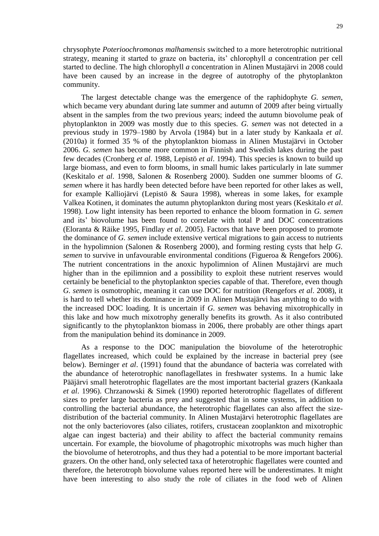chrysophyte *Poterioochromonas malhamensis* switched to a more heterotrophic nutritional strategy, meaning it started to graze on bacteria, its' chlorophyll *a* concentration per cell started to decline. The high chlorophyll *a* concentration in Alinen Mustajärvi in 2008 could have been caused by an increase in the degree of autotrophy of the phytoplankton community.

The largest detectable change was the emergence of the raphidophyte *G. semen*, which became very abundant during late summer and autumn of 2009 after being virtually absent in the samples from the two previous years; indeed the autumn biovolume peak of phytoplankton in 2009 was mostly due to this species. *G. semen* was not detected in a previous study in 1979–1980 by Arvola (1984) but in a later study by Kankaala *et al*. (2010a) it formed 35 % of the phytoplankton biomass in Alinen Mustajärvi in October 2006. *G. semen* has become more common in Finnish and Swedish lakes during the past few decades (Cronberg *et al*. 1988, Lepistö *et al*. 1994). This species is known to build up large biomass, and even to form blooms, in small humic lakes particularly in late summer (Keskitalo *et al*. 1998, Salonen & Rosenberg 2000). Sudden one summer blooms of *G. semen* where it has hardly been detected before have been reported for other lakes as well, for example Kalliojärvi (Lepistö & Saura 1998), whereas in some lakes, for example Valkea Kotinen, it dominates the autumn phytoplankton during most years (Keskitalo *et al*. 1998). Low light intensity has been reported to enhance the bloom formation in *G. semen* and its' biovolume has been found to correlate with total P and DOC concentrations (Eloranta & Räike 1995, Findlay *et al*. 2005). Factors that have been proposed to promote the dominance of *G. semen* include extensive vertical migrations to gain access to nutrients in the hypolimnion (Salonen & Rosenberg 2000), and forming resting cysts that help *G. semen* to survive in unfavourable environmental conditions (Figueroa & Rengefors 2006). The nutrient concentrations in the anoxic hypolimnion of Alinen Mustajärvi are much higher than in the epilimnion and a possibility to exploit these nutrient reserves would certainly be beneficial to the phytoplankton species capable of that. Therefore, even though *G. semen* is osmotrophic, meaning it can use DOC for nutrition (Rengefors *et al*. 2008), it is hard to tell whether its dominance in 2009 in Alinen Mustajärvi has anything to do with the increased DOC loading. It is uncertain if *G. semen* was behaving mixotrophically in this lake and how much mixotrophy generally benefits its growth. As it also contributed significantly to the phytoplankton biomass in 2006, there probably are other things apart from the manipulation behind its dominance in 2009.

As a response to the DOC manipulation the biovolume of the heterotrophic flagellates increased, which could be explained by the increase in bacterial prey (see below). Berninger *et al*. (1991) found that the abundance of bacteria was correlated with the abundance of heterotrophic nanoflagellates in freshwater systems. In a humic lake Pääjärvi small heterotrophic flagellates are the most important bacterial grazers (Kankaala *et al*. 1996). Chrzanowski & Simek (1990) reported heterotrophic flagellates of different sizes to prefer large bacteria as prey and suggested that in some systems, in addition to controlling the bacterial abundance, the heterotrophic flagellates can also affect the sizedistribution of the bacterial community. In Alinen Mustajärvi heterotrophic flagellates are not the only bacteriovores (also ciliates, rotifers, crustacean zooplankton and mixotrophic algae can ingest bacteria) and their ability to affect the bacterial community remains uncertain. For example, the biovolume of phagotrophic mixotrophs was much higher than the biovolume of heterotrophs, and thus they had a potential to be more important bacterial grazers. On the other hand, only selected taxa of heterotrophic flagellates were counted and therefore, the heterotroph biovolume values reported here will be underestimates. It might have been interesting to also study the role of ciliates in the food web of Alinen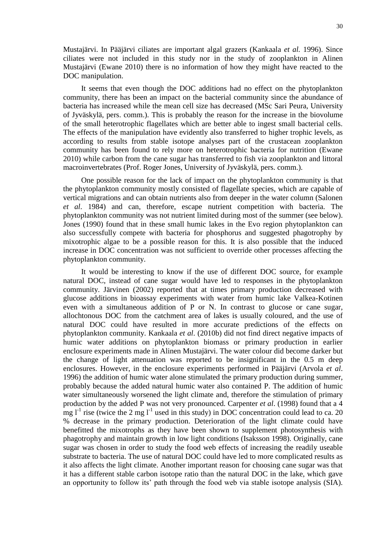Mustajärvi. In Pääjärvi ciliates are important algal grazers (Kankaala *et al.* 1996). Since ciliates were not included in this study nor in the study of zooplankton in Alinen Mustajärvi (Ewane 2010) there is no information of how they might have reacted to the DOC manipulation.

It seems that even though the DOC additions had no effect on the phytoplankton community, there has been an impact on the bacterial community since the abundance of bacteria has increased while the mean cell size has decreased (MSc Sari Peura, University of Jyväskylä, pers. comm.). This is probably the reason for the increase in the biovolume of the small heterotrophic flagellates which are better able to ingest small bacterial cells. The effects of the manipulation have evidently also transferred to higher trophic levels, as according to results from stable isotope analyses part of the crustacean zooplankton community has been found to rely more on heterotrophic bacteria for nutrition (Ewane 2010) while carbon from the cane sugar has transferred to fish via zooplankton and littoral macroinvertebrates (Prof. Roger Jones, University of Jyväskylä, pers. comm.).

One possible reason for the lack of impact on the phytoplankton community is that the phytoplankton community mostly consisted of flagellate species, which are capable of vertical migrations and can obtain nutrients also from deeper in the water column (Salonen *et al*. 1984) and can, therefore, escape nutrient competition with bacteria. The phytoplankton community was not nutrient limited during most of the summer (see below). Jones (1990) found that in these small humic lakes in the Evo region phytoplankton can also successfully compete with bacteria for phosphorus and suggested phagotrophy by mixotrophic algae to be a possible reason for this. It is also possible that the induced increase in DOC concentration was not sufficient to override other processes affecting the phytoplankton community.

It would be interesting to know if the use of different DOC source, for example natural DOC, instead of cane sugar would have led to responses in the phytoplankton community. Järvinen (2002) reported that at times primary production decreased with glucose additions in bioassay experiments with water from humic lake Valkea-Kotinen even with a simultaneous addition of P or N. In contrast to glucose or cane sugar, allochtonous DOC from the catchment area of lakes is usually coloured, and the use of natural DOC could have resulted in more accurate predictions of the effects on phytoplankton community. Kankaala *et al*. (2010b) did not find direct negative impacts of humic water additions on phytoplankton biomass or primary production in earlier enclosure experiments made in Alinen Mustajärvi. The water colour did become darker but the change of light attenuation was reported to be insignificant in the 0.5 m deep enclosures. However, in the enclosure experiments performed in Pääjärvi (Arvola *et al*. 1996) the addition of humic water alone stimulated the primary production during summer, probably because the added natural humic water also contained P. The addition of humic water simultaneously worsened the light climate and, therefore the stimulation of primary production by the added P was not very pronounced. Carpenter *et al*. (1998) found that a 4  $\text{mg l}^{-1}$  rise (twice the 2 mg l<sup>-1</sup> used in this study) in DOC concentration could lead to ca. 20 % decrease in the primary production. Deterioration of the light climate could have benefitted the mixotrophs as they have been shown to supplement photosynthesis with phagotrophy and maintain growth in low light conditions (Isaksson 1998). Originally, cane sugar was chosen in order to study the food web effects of increasing the readily useable substrate to bacteria. The use of natural DOC could have led to more complicated results as it also affects the light climate. Another important reason for choosing cane sugar was that it has a different stable carbon isotope ratio than the natural DOC in the lake, which gave an opportunity to follow its' path through the food web via stable isotope analysis (SIA).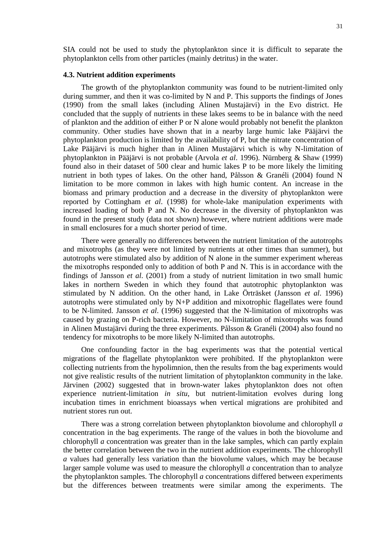SIA could not be used to study the phytoplankton since it is difficult to separate the phytoplankton cells from other particles (mainly detritus) in the water.

#### <span id="page-30-0"></span>**4.3. Nutrient addition experiments**

The growth of the phytoplankton community was found to be nutrient-limited only during summer, and then it was co-limited by N and P. This supports the findings of Jones (1990) from the small lakes (including Alinen Mustajärvi) in the Evo district. He concluded that the supply of nutrients in these lakes seems to be in balance with the need of plankton and the addition of either P or N alone would probably not benefit the plankton community. Other studies have shown that in a nearby large humic lake Pääjärvi the phytoplankton production is limited by the availability of P, but the nitrate concentration of Lake Pääjärvi is much higher than in Alinen Mustajärvi which is why N-limitation of phytoplankton in Pääjärvi is not probable (Arvola *et al*. 1996). Nürnberg & Shaw (1999) found also in their dataset of 500 clear and humic lakes P to be more likely the limiting nutrient in both types of lakes. On the other hand, Pålsson & Granéli (2004) found N limitation to be more common in lakes with high humic content. An increase in the biomass and primary production and a decrease in the diversity of phytoplankton were reported by Cottingham *et al*. (1998) for whole-lake manipulation experiments with increased loading of both P and N. No decrease in the diversity of phytoplankton was found in the present study (data not shown) however, where nutrient additions were made in small enclosures for a much shorter period of time.

There were generally no differences between the nutrient limitation of the autotrophs and mixotrophs (as they were not limited by nutrients at other times than summer), but autotrophs were stimulated also by addition of N alone in the summer experiment whereas the mixotrophs responded only to addition of both P and N. This is in accordance with the findings of Jansson *et al*. (2001) from a study of nutrient limitation in two small humic lakes in northern Sweden in which they found that autotrophic phytoplankton was stimulated by N addition. On the other hand, in Lake Örträsket (Jansson *et al*. 1996) autotrophs were stimulated only by N+P addition and mixotrophic flagellates were found to be N-limited. Jansson *et al*. (1996) suggested that the N-limitation of mixotrophs was caused by grazing on P-rich bacteria. However, no N-limitation of mixotrophs was found in Alinen Mustajärvi during the three experiments. Pålsson & Granéli (2004) also found no tendency for mixotrophs to be more likely N-limited than autotrophs.

One confounding factor in the bag experiments was that the potential vertical migrations of the flagellate phytoplankton were prohibited. If the phytoplankton were collecting nutrients from the hypolimnion, then the results from the bag experiments would not give realistic results of the nutrient limitation of phytoplankton community in the lake. Järvinen (2002) suggested that in brown-water lakes phytoplankton does not often experience nutrient-limitation *in situ*, but nutrient-limitation evolves during long incubation times in enrichment bioassays when vertical migrations are prohibited and nutrient stores run out.

There was a strong correlation between phytoplankton biovolume and chlorophyll *a* concentration in the bag experiments. The range of the values in both the biovolume and chlorophyll *a* concentration was greater than in the lake samples, which can partly explain the better correlation between the two in the nutrient addition experiments. The chlorophyll *a* values had generally less variation than the biovolume values, which may be because larger sample volume was used to measure the chlorophyll *a* concentration than to analyze the phytoplankton samples. The chlorophyll *a* concentrations differed between experiments but the differences between treatments were similar among the experiments. The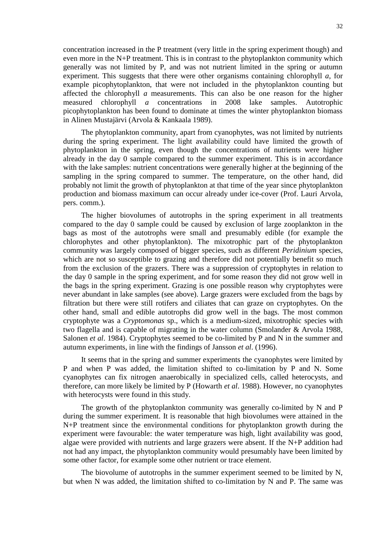concentration increased in the P treatment (very little in the spring experiment though) and even more in the N+P treatment. This is in contrast to the phytoplankton community which generally was not limited by P, and was not nutrient limited in the spring or autumn experiment. This suggests that there were other organisms containing chlorophyll *a*, for example picophytoplankton, that were not included in the phytoplankton counting but affected the chlorophyll *a* measurements. This can also be one reason for the higher measured chlorophyll *a* concentrations in 2008 lake samples. Autotrophic picophytoplankton has been found to dominate at times the winter phytoplankton biomass in Alinen Mustajärvi (Arvola & Kankaala 1989).

The phytoplankton community, apart from cyanophytes, was not limited by nutrients during the spring experiment. The light availability could have limited the growth of phytoplankton in the spring, even though the concentrations of nutrients were higher already in the day 0 sample compared to the summer experiment. This is in accordance with the lake samples: nutrient concentrations were generally higher at the beginning of the sampling in the spring compared to summer. The temperature, on the other hand, did probably not limit the growth of phytoplankton at that time of the year since phytoplankton production and biomass maximum can occur already under ice-cover (Prof. Lauri Arvola, pers. comm.).

The higher biovolumes of autotrophs in the spring experiment in all treatments compared to the day 0 sample could be caused by exclusion of large zooplankton in the bags as most of the autotrophs were small and presumably edible (for example the chlorophytes and other phytoplankton). The mixotrophic part of the phytoplankton community was largely composed of bigger species, such as different *Peridinium* species, which are not so susceptible to grazing and therefore did not potentially benefit so much from the exclusion of the grazers. There was a suppression of cryptophytes in relation to the day 0 sample in the spring experiment, and for some reason they did not grow well in the bags in the spring experiment. Grazing is one possible reason why cryptophytes were never abundant in lake samples (see above). Large grazers were excluded from the bags by filtration but there were still rotifers and ciliates that can graze on cryptophytes. On the other hand, small and edible autotrophs did grow well in the bags. The most common cryptophyte was a *Cryptomonas* sp., which is a medium-sized, mixotrophic species with two flagella and is capable of migrating in the water column (Smolander & Arvola 1988, Salonen *et al*. 1984). Cryptophytes seemed to be co-limited by P and N in the summer and autumn experiments, in line with the findings of Jansson *et al*. (1996).

It seems that in the spring and summer experiments the cyanophytes were limited by P and when P was added, the limitation shifted to co-limitation by P and N. Some cyanophytes can fix nitrogen anaerobically in specialized cells, called heterocysts, and therefore, can more likely be limited by P (Howarth *et al*. 1988). However, no cyanophytes with heterocysts were found in this study.

The growth of the phytoplankton community was generally co-limited by N and P during the summer experiment. It is reasonable that high biovolumes were attained in the N+P treatment since the environmental conditions for phytoplankton growth during the experiment were favourable: the water temperature was high, light availability was good, algae were provided with nutrients and large grazers were absent. If the N+P addition had not had any impact, the phytoplankton community would presumably have been limited by some other factor, for example some other nutrient or trace element.

The biovolume of autotrophs in the summer experiment seemed to be limited by N, but when N was added, the limitation shifted to co-limitation by N and P. The same was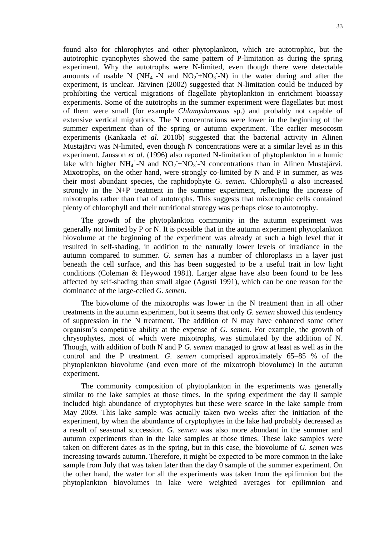found also for chlorophytes and other phytoplankton, which are autotrophic, but the autotrophic cyanophytes showed the same pattern of P-limitation as during the spring experiment. Why the autotrophs were N-limited, even though there were detectable amounts of usable N ( $NH_4^+$ -N and  $NO_2^-$ +NO<sub>3</sub> -N) in the water during and after the experiment, is unclear. Järvinen (2002) suggested that N-limitation could be induced by prohibiting the vertical migrations of flagellate phytoplankton in enrichment bioassay experiments. Some of the autotrophs in the summer experiment were flagellates but most of them were small (for example *Chlamydomonas* sp.) and probably not capable of extensive vertical migrations. The N concentrations were lower in the beginning of the summer experiment than of the spring or autumn experiment. The earlier mesocosm experiments (Kankaala *et al.* 2010b) suggested that the bacterial activity in Alinen Mustajärvi was N-limited, even though N concentrations were at a similar level as in this experiment. Jansson *et al*. (1996) also reported N-limitation of phytoplankton in a humic lake with higher  $NH_4^+$ -N and  $NO_2^-$ +NO<sub>3</sub>-N concentrations than in Alinen Mustajärvi. Mixotrophs, on the other hand, were strongly co-limited by N and P in summer, as was their most abundant species, the raphidophyte *G. semen*. Chlorophyll *a* also increased strongly in the N+P treatment in the summer experiment, reflecting the increase of mixotrophs rather than that of autotrophs. This suggests that mixotrophic cells contained plenty of chlorophyll and their nutritional strategy was perhaps close to autotrophy.

The growth of the phytoplankton community in the autumn experiment was generally not limited by P or N. It is possible that in the autumn experiment phytoplankton biovolume at the beginning of the experiment was already at such a high level that it resulted in self-shading, in addition to the naturally lower levels of irradiance in the autumn compared to summer. *G. semen* has a number of chloroplasts in a layer just beneath the cell surface, and this has been suggested to be a useful trait in low light conditions (Coleman & Heywood 1981). Larger algae have also been found to be less affected by self-shading than small algae (Agustí 1991), which can be one reason for the dominance of the large-celled *G. semen*.

The biovolume of the mixotrophs was lower in the N treatment than in all other treatments in the autumn experiment, but it seems that only *G. semen* showed this tendency of suppression in the N treatment. The addition of N may have enhanced some other organism's competitive ability at the expense of *G. semen*. For example, the growth of chrysophytes, most of which were mixotrophs, was stimulated by the addition of N. Though, with addition of both N and P *G. semen* managed to grow at least as well as in the control and the P treatment. *G. semen* comprised approximately 65–85 % of the phytoplankton biovolume (and even more of the mixotroph biovolume) in the autumn experiment.

The community composition of phytoplankton in the experiments was generally similar to the lake samples at those times. In the spring experiment the day 0 sample included high abundance of cryptophytes but these were scarce in the lake sample from May 2009. This lake sample was actually taken two weeks after the initiation of the experiment, by when the abundance of cryptophytes in the lake had probably decreased as a result of seasonal succession. *G. semen* was also more abundant in the summer and autumn experiments than in the lake samples at those times. These lake samples were taken on different dates as in the spring, but in this case, the biovolume of *G. semen* was increasing towards autumn. Therefore, it might be expected to be more common in the lake sample from July that was taken later than the day 0 sample of the summer experiment. On the other hand, the water for all the experiments was taken from the epilimnion but the phytoplankton biovolumes in lake were weighted averages for epilimnion and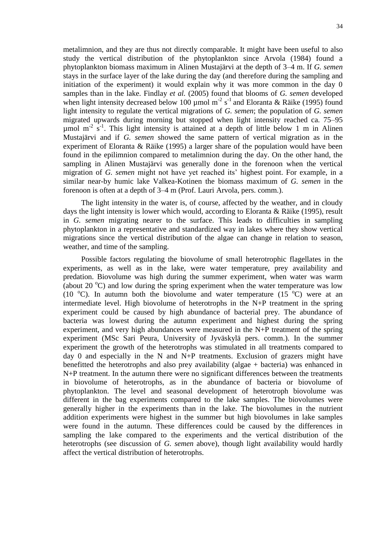metalimnion, and they are thus not directly comparable. It might have been useful to also study the vertical distribution of the phytoplankton since Arvola (1984) found a phytoplankton biomass maximum in Alinen Mustajärvi at the depth of 3–4 m. If *G. semen* stays in the surface layer of the lake during the day (and therefore during the sampling and initiation of the experiment) it would explain why it was more common in the day 0 samples than in the lake. Findlay *et al.* (2005) found that blooms of *G. semen* developed when light intensity decreased below 100 µmol m<sup>-2</sup> s<sup>-1</sup> and Eloranta & Räike (1995) found light intensity to regulate the vertical migrations of *G. semen*; the population of *G. semen* migrated upwards during morning but stopped when light intensity reached ca. 75–95  $\mu$ mol m<sup>-2</sup> s<sup>-1</sup>. This light intensity is attained at a depth of little below 1 m in Alinen Mustajärvi and if *G. semen* showed the same pattern of vertical migration as in the experiment of Eloranta & Räike (1995) a larger share of the population would have been found in the epilimnion compared to metalimnion during the day. On the other hand, the sampling in Alinen Mustajärvi was generally done in the forenoon when the vertical migration of *G. semen* might not have yet reached its' highest point. For example, in a similar near-by humic lake Valkea-Kotinen the biomass maximum of *G. semen* in the forenoon is often at a depth of 3–4 m (Prof. Lauri Arvola, pers. comm.).

The light intensity in the water is, of course, affected by the weather, and in cloudy days the light intensity is lower which would, according to Eloranta & Räike (1995), result in *G. semen* migrating nearer to the surface. This leads to difficulties in sampling phytoplankton in a representative and standardized way in lakes where they show vertical migrations since the vertical distribution of the algae can change in relation to season, weather, and time of the sampling.

Possible factors regulating the biovolume of small heterotrophic flagellates in the experiments, as well as in the lake, were water temperature, prey availability and predation. Biovolume was high during the summer experiment, when water was warm (about 20  $^{\circ}$ C) and low during the spring experiment when the water temperature was low (10  $^{\circ}$ C). In autumn both the biovolume and water temperature (15  $^{\circ}$ C) were at an intermediate level. High biovolume of heterotrophs in the N+P treatment in the spring experiment could be caused by high abundance of bacterial prey. The abundance of bacteria was lowest during the autumn experiment and highest during the spring experiment, and very high abundances were measured in the N+P treatment of the spring experiment (MSc Sari Peura, University of Jyväskylä pers. comm.). In the summer experiment the growth of the heterotrophs was stimulated in all treatments compared to day 0 and especially in the N and N+P treatments. Exclusion of grazers might have benefitted the heterotrophs and also prey availability (algae + bacteria) was enhanced in N+P treatment. In the autumn there were no significant differences between the treatments in biovolume of heterotrophs, as in the abundance of bacteria or biovolume of phytoplankton. The level and seasonal development of heterotroph biovolume was different in the bag experiments compared to the lake samples. The biovolumes were generally higher in the experiments than in the lake. The biovolumes in the nutrient addition experiments were highest in the summer but high biovolumes in lake samples were found in the autumn. These differences could be caused by the differences in sampling the lake compared to the experiments and the vertical distribution of the heterotrophs (see discussion of *G. semen* above), though light availability would hardly affect the vertical distribution of heterotrophs.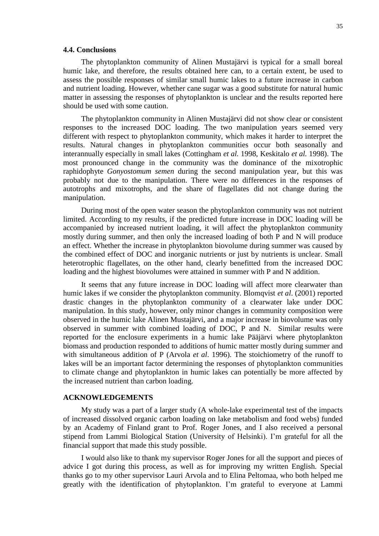#### <span id="page-34-0"></span>**4.4. Conclusions**

The phytoplankton community of Alinen Mustajärvi is typical for a small boreal humic lake, and therefore, the results obtained here can, to a certain extent, be used to assess the possible responses of similar small humic lakes to a future increase in carbon and nutrient loading. However, whether cane sugar was a good substitute for natural humic matter in assessing the responses of phytoplankton is unclear and the results reported here should be used with some caution.

The phytoplankton community in Alinen Mustajärvi did not show clear or consistent responses to the increased DOC loading. The two manipulation years seemed very different with respect to phytoplankton community, which makes it harder to interpret the results. Natural changes in phytoplankton communities occur both seasonally and interannually especially in small lakes (Cottingham *et al.* 1998, Keskitalo *et al.* 1998). The most pronounced change in the community was the dominance of the mixotrophic raphidophyte *Gonyostomum semen* during the second manipulation year, but this was probably not due to the manipulation. There were no differences in the responses of autotrophs and mixotrophs, and the share of flagellates did not change during the manipulation.

During most of the open water season the phytoplankton community was not nutrient limited. According to my results, if the predicted future increase in DOC loading will be accompanied by increased nutrient loading, it will affect the phytoplankton community mostly during summer, and then only the increased loading of both P and N will produce an effect. Whether the increase in phytoplankton biovolume during summer was caused by the combined effect of DOC and inorganic nutrients or just by nutrients is unclear. Small heterotrophic flagellates, on the other hand, clearly benefitted from the increased DOC loading and the highest biovolumes were attained in summer with P and N addition.

It seems that any future increase in DOC loading will affect more clearwater than humic lakes if we consider the phytoplankton community. Blomqvist *et al*. (2001) reported drastic changes in the phytoplankton community of a clearwater lake under DOC manipulation. In this study, however, only minor changes in community composition were observed in the humic lake Alinen Mustajärvi, and a major increase in biovolume was only observed in summer with combined loading of DOC, P and N. Similar results were reported for the enclosure experiments in a humic lake Pääjärvi where phytoplankton biomass and production responded to additions of humic matter mostly during summer and with simultaneous addition of P (Arvola *et al*. 1996). The stoichiometry of the runoff to lakes will be an important factor determining the responses of phytoplankton communities to climate change and phytoplankton in humic lakes can potentially be more affected by the increased nutrient than carbon loading.

## <span id="page-34-1"></span>**ACKNOWLEDGEMENTS**

My study was a part of a larger study (A whole-lake experimental test of the impacts of increased dissolved organic carbon loading on lake metabolism and food webs) funded by an Academy of Finland grant to Prof. Roger Jones, and I also received a personal stipend from Lammi Biological Station (University of Helsinki). I'm grateful for all the financial support that made this study possible.

I would also like to thank my supervisor Roger Jones for all the support and pieces of advice I got during this process, as well as for improving my written English. Special thanks go to my other supervisor Lauri Arvola and to Elina Peltomaa, who both helped me greatly with the identification of phytoplankton. I'm grateful to everyone at Lammi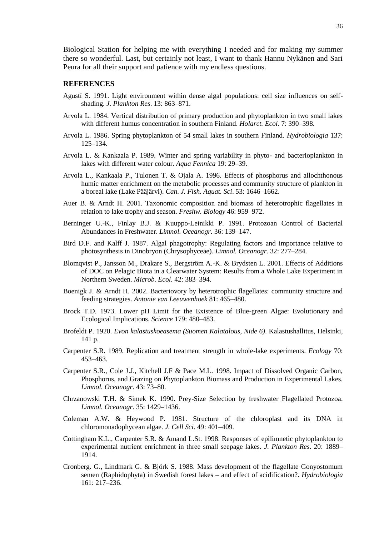Biological Station for helping me with everything I needed and for making my summer there so wonderful. Last, but certainly not least, I want to thank Hannu Nykänen and Sari Peura for all their support and patience with my endless questions.

#### <span id="page-35-0"></span>**REFERENCES**

- Agustí S. 1991. Light environment within dense algal populations: cell size influences on selfshading. *J. Plankton Res*. 13: 863–871.
- Arvola L. 1984. Vertical distribution of primary production and phytoplankton in two small lakes with different humus concentration in southern Finland. *Holarct. Ecol.* 7: 390–398.
- Arvola L. 1986. Spring phytoplankton of 54 small lakes in southern Finland. *Hydrobiologia* 137: 125–134.
- Arvola L. & Kankaala P. 1989. Winter and spring variability in phyto- and bacterioplankton in lakes with different water colour. *Aqua Fennica* 19: 29–39.
- Arvola L., Kankaala P., Tulonen T. & Ojala A. 1996. Effects of phosphorus and allochthonous humic matter enrichment on the metabolic processes and community structure of plankton in a boreal lake (Lake Pääjärvi). *Can. J. Fish. Aquat. Sci*. 53: 1646–1662.
- Auer B. & Arndt H. 2001. Taxonomic composition and biomass of heterotrophic flagellates in relation to lake trophy and season. *Freshw. Biology* 46: 959–972.
- Berninger U.-K., Finlay B.J. & Kuuppo-Leinikki P. 1991. Protozoan Control of Bacterial Abundances in Freshwater. *Limnol. Oceanogr*. 36: 139–147.
- Bird D.F. and Kalff J. 1987. Algal phagotrophy: Regulating factors and importance relative to photosynthesis in Dinobryon (Chrysophyceae). *Limnol. Oceanogr*. 32: 277–284.
- Blomqvist P., Jansson M., Drakare S., Bergström A.-K. & Brydsten L. 2001. Effects of Additions of DOC on Pelagic Biota in a Clearwater System: Results from a Whole Lake Experiment in Northern Sweden. *Microb. Ecol.* 42: 383–394.
- Boenigk J. & Arndt H. 2002. Bacteriovory by heterotrophic flagellates: community structure and feeding strategies. *Antonie van Leeuwenhoek* 81: 465–480.
- Brock T.D. 1973. Lower pH Limit for the Existence of Blue-green Algae: Evolutionary and Ecological Implications. *Science* 179: 480–483.
- Brofeldt P. 1920. *Evon kalastuskoeasema (Suomen Kalatalous, Nide 6)*. Kalastushallitus, Helsinki, 141 p.
- Carpenter S.R. 1989. Replication and treatment strength in whole-lake experiments. *Ecology* 70: 453–463.
- Carpenter S.R., Cole J.J., Kitchell J.F & Pace M.L. 1998. Impact of Dissolved Organic Carbon, Phosphorus, and Grazing on Phytoplankton Biomass and Production in Experimental Lakes. *Limnol. Oceanogr*. 43: 73–80.
- Chrzanowski T.H. & Simek K. 1990. Prey-Size Selection by freshwater Flagellated Protozoa. *Limnol. Oceanogr*. 35: 1429–1436.
- Coleman A.W. & Heywood P. 1981. Structure of the chloroplast and its DNA in chloromonadophycean algae*. J. Cell Sci*. 49: 401–409.
- Cottingham K.L., Carpenter S.R. & Amand L.St. 1998. Responses of epilimnetic phytoplankton to experimental nutrient enrichment in three small seepage lakes. *J. Plankton Res*. 20: 1889– 1914.
- Cronberg. G., Lindmark G. & Björk S. 1988. Mass development of the flagellate Gonyostomum semen (Raphidophyta) in Swedish forest lakes – and effect of acidification?. *Hydrobiologia* 161: 217–236.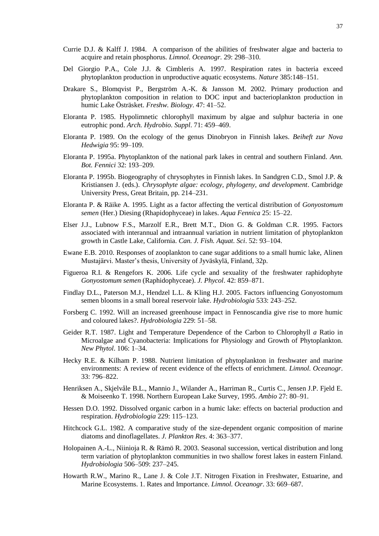- Currie D.J. & Kalff J. 1984. A comparison of the abilities of freshwater algae and bacteria to acquire and retain phosphorus. *Limnol. Oceanogr.* 29: 298–310.
- Del Giorgio P.A., Cole J.J. & Cimbleris A. 1997. Respiration rates in bacteria exceed phytoplankton production in unproductive aquatic ecosystems. *Nature* 385:148–151.
- Drakare S., Blomqvist P., Bergström A.-K. & Jansson M. 2002. Primary production and phytoplankton composition in relation to DOC input and bacterioplankton production in humic Lake Östräsket. *Freshw. Biology*. 47: 41–52.
- Eloranta P. 1985. Hypolimnetic chlorophyll maximum by algae and sulphur bacteria in one eutrophic pond. *Arch. Hydrobio. Suppl*. 71: 459–469.
- Eloranta P. 1989. On the ecology of the genus Dinobryon in Finnish lakes. *Beiheft zur Nova Hedwigia* 95: 99–109.
- Eloranta P. 1995a. Phytoplankton of the national park lakes in central and southern Finland. *Ann. Bot. Fennici* 32: 193–209.
- Eloranta P. 1995b. Biogeography of chrysophytes in Finnish lakes. In Sandgren C.D., Smol J.P. & Kristiansen J. (eds.). *Chrysophyte algae: ecology, phylogeny, and development*. Cambridge University Press, Great Britain, pp. 214–231.
- Eloranta P. & Räike A. 1995. Light as a factor affecting the vertical distribution of *Gonyostomum semen* (Her.) Diesing (Rhapidophyceae) in lakes. *Aqua Fennica* 25: 15–22.
- Elser J.J., Lubnow F.S., Marzolf E.R., Brett M.T., Dion G. & Goldman C.R. 1995. Factors associated with interannual and intraannual variation in nutrient limitation of phytoplankton growth in Castle Lake, California. *Can. J. Fish. Aquat. Sci*. 52: 93–104.
- Ewane E.B. 2010. Responses of zooplankton to cane sugar additions to a small humic lake, Alinen Mustajärvi. Master's thesis, University of Jyväskylä, Finland, 32p.
- Figueroa R.I. & Rengefors K. 2006. Life cycle and sexuality of the freshwater raphidophyte *Gonyostomum semen* (Raphidophyceae). *J. Phycol*. 42: 859–871.
- Findlay D.L., Paterson M.J., Hendzel L.L. & Kling H.J. 2005. Factors influencing Gonyostomum semen blooms in a small boreal reservoir lake. *Hydrobiologia* 533: 243–252.
- Forsberg C. 1992. Will an increased greenhouse impact in Fennoscandia give rise to more humic and coloured lakes?. *Hydrobiologia* 229: 51–58.
- Geider R.T. 1987. Light and Temperature Dependence of the Carbon to Chlorophyll *a* Ratio in Microalgae and Cyanobacteria: Implications for Physiology and Growth of Phytoplankton. *New Phytol*. 106: 1–34.
- Hecky R.E. & Kilham P. 1988. Nutrient limitation of phytoplankton in freshwater and marine environments: A review of recent evidence of the effects of enrichment*. Limnol. Oceanogr*. 33: 796–822.
- Henriksen A., Skjelvåle B.L., Mannio J., Wilander A., Harriman R., Curtis C., Jensen J.P. Fjeld E. & Moiseenko T. 1998. Northern European Lake Survey, 1995. *Ambio* 27: 80–91.
- Hessen D.O. 1992. Dissolved organic carbon in a humic lake: effects on bacterial production and respiration. *Hydrobiologia* 229: 115–123.
- Hitchcock G.L. 1982. A comparative study of the size-dependent organic composition of marine diatoms and dinoflagellates. *J. Plankton Res*. 4: 363–377.
- Holopainen A.-L., Niinioja R. & Rämö R. 2003. Seasonal succession, vertical distribution and long term variation of phytoplankton communities in two shallow forest lakes in eastern Finland. *Hydrobiologia* 506–509: 237–245.
- Howarth R.W., Marino R., Lane J. & Cole J.T. Nitrogen Fixation in Freshwater, Estuarine, and Marine Ecosystems. 1. Rates and Importance. *Limnol. Oceanogr*. 33: 669–687.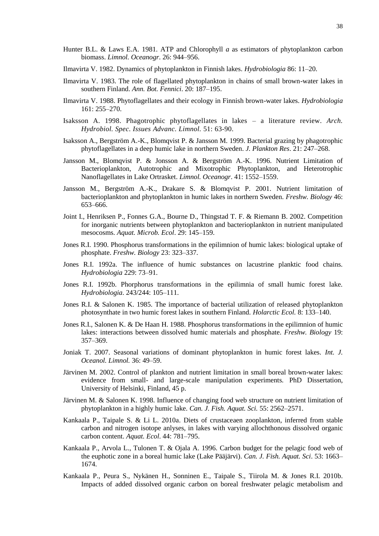- Hunter B.L. & Laws E.A. 1981. ATP and Chlorophyll *a* as estimators of phytoplankton carbon biomass. *Limnol. Oceanogr*. 26: 944–956.
- Ilmavirta V. 1982. Dynamics of phytoplankton in Finnish lakes. *Hydrobiologia* 86: 11–20.
- Ilmavirta V. 1983. The role of flagellated phytoplankton in chains of small brown-water lakes in southern Finland. *Ann. Bot. Fennici*. 20: 187–195.
- Ilmavirta V. 1988. Phytoflagellates and their ecology in Finnish brown-water lakes. *Hydrobiologia* 161: 255–270.
- Isaksson A. 1998. Phagotrophic phytoflagellates in lakes a literature review. *Arch. Hydrobiol. Spec. Issues Advanc. Limnol.* 51: 63-90.
- Isaksson A., Bergström A.-K., Blomqvist P. & Jansson M. 1999. Bacterial grazing by phagotrophic phytoflagellates in a deep humic lake in northern Sweden. *J. Plankton Res*. 21: 247–268.
- Jansson M., Blomqvist P. & Jonsson A. & Bergström A.-K. 1996. Nutrient Limitation of Bacterioplankton, Autotrophic and Mixotrophic Phytoplankton, and Heterotrophic Nanoflagellates in Lake Ortrasket. *Limnol. Oceanogr*. 41: 1552–1559.
- Jansson M., Bergström A.-K., Drakare S. & Blomqvist P. 2001. Nutrient limitation of bacterioplankton and phytoplankton in humic lakes in northern Sweden. *Freshw. Biology* 46: 653–666.
- Joint I., Henriksen P., Fonnes G.A., Bourne D., Thingstad T. F. & Riemann B. 2002. Competition for inorganic nutrients between phytoplankton and bacterioplankton in nutrient manipulated mesocosms. *Aquat. Microb. Ecol*. 29: 145–159.
- Jones R.I. 1990. Phosphorus transformations in the epilimnion of humic lakes: biological uptake of phosphate. *Freshw. Biology* 23: 323–337.
- Jones R.I. 1992a. The influence of humic substances on lacustrine planktic food chains. *Hydrobiologia* 229: 73–91.
- Jones R.I. 1992b. Phorphorus transformations in the epilimnia of small humic forest lake. *Hydrobiologia*. 243/244: 105–111.
- Jones R.I. & Salonen K. 1985. The importance of bacterial utilization of released phytoplankton photosynthate in two humic forest lakes in southern Finland*. Holarctic Ecol.* 8: 133–140.
- Jones R.I., Salonen K. & De Haan H. 1988. Phosphorus transformations in the epilimnion of humic lakes: interactions between dissolved humic materials and phosphate. *Freshw. Biology* 19: 357–369.
- Joniak T. 2007. Seasonal variations of dominant phytoplankton in humic forest lakes. *Int. J. Oceanol. Limnol.* 36: 49–59.
- Järvinen M. 2002. Control of plankton and nutrient limitation in small boreal brown-water lakes: evidence from small- and large-scale manipulation experiments. PhD Dissertation, University of Helsinki, Finland, 45 p.
- Järvinen M. & Salonen K. 1998. Influence of changing food web structure on nutrient limitation of phytoplankton in a highly humic lake. *Can. J. Fish. Aquat. Sci.* 55: 2562–2571.
- Kankaala P., Taipale S. & Li L. 2010a. Diets of crustaceaen zooplankton, inferred from stable carbon and nitrogen isotope anlyses, in lakes with varying allochthonous dissolved organic carbon content. *Aquat. Ecol*. 44: 781–795.
- Kankaala P., Arvola L., Tulonen T. & Ojala A. 1996. Carbon budget for the pelagic food web of the euphotic zone in a boreal humic lake (Lake Pääjärvi). *Can. J. Fish. Aquat. Sci*. 53: 1663– 1674.
- Kankaala P., Peura S., Nykänen H., Sonninen E., Taipale S., Tiirola M. & Jones R.I. 2010b. Impacts of added dissolved organic carbon on boreal freshwater pelagic metabolism and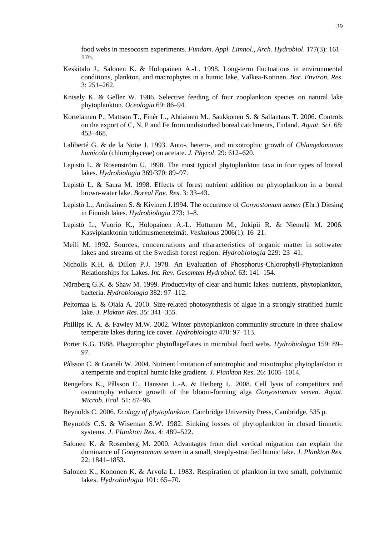food webs in mesocosm experiments. *Fundam. Appl. Limnol., Arch. Hydrobiol*. 177(3): 161– 176.

- Keskitalo J., Salonen K. & Holopainen A.-L. 1998. Long-term fluctuations in environmental conditions, plankton, and macrophytes in a humic lake, Valkea-Kotinen. *Bor. Environ. Res*. 3: 251–262.
- Knisely K. & Geller W. 1986. Selective feeding of four zooplankton species on natural lake phytoplankton. *Oceologia* 69: 86–94.
- Kortelainen P., Mattson T., Finér L., Ahtiainen M., Saukkonen S. & Sallantaus T. 2006. Controls on the export of C, N, P and Fe from undisturbed boreal catchments, Finland. *Aquat. Sci*. 68: 453–468.
- Laliberté G. & de la Noüe J. 1993. Auto-, hetero-, and mixotrophic growth of *Chlamydomonas humicola* (chlorophyceae) on acetate. *J. Phycol*. 29: 612–620.
- Lepistö L. & Rosenström U. 1998. The most typical phytoplankton taxa in four types of boreal lakes. *Hydrobiologia* 369/370: 89–97.
- Lepistö L. & Saura M. 1998. Effects of forest nutrient addition on phytoplankton in a boreal brown-water lake. *Boreal Env. Res*. 3: 33–43.
- Lepistö L., Antikainen S. & Kivinen J.1994. The occurence of *Gonyostomum semen* (Ehr.) Diesing in Finnish lakes. *Hydrobiologia* 273: 1–8.
- Lepistö L., Vuorio K., Holopainen A.-L. Huttunen M., Jokipii R. & Niemelä M. 2006. Kasviplanktonin tutkimusmenetelmät. *Vesitalous* 2006(1): 16–21.
- Meili M. 1992. Sources, concentrations and characteristics of organic matter in softwater lakes and streams of the Swedish forest region. *Hydrobiologia* 229: 23–41.
- Nicholls K.H. & Dillon P.J. 1978. An Evaluation of Phosphorus-Chlorophyll-Phytoplankton Relationships for Lakes. *Int. Rev. Gesamten Hydrobiol*. 63: 141–154.
- Nürnberg G.K. & Shaw M. 1999. Productivity of clear and humic lakes: nutrients, phytoplankton, bacteria. *Hydrobiologia* 382: 97–112.
- Peltomaa E. & Ojala A. 2010. Size-related photosynthesis of algae in a strongly stratified humic lake. *J. Plakton Res*. 35: 341–355.
- Phillips K. A. & Fawley M.W. 2002. Winter phytoplankton community structure in three shallow temperate lakes during ice cover. *Hydrobiologia* 470: 97–113.
- Porter K.G. 1988. Phagotrophic phytoflagellates in microbial food webs. *Hydrobiologia* 159: 89– 97.
- Pålsson C. & Granéli W. 2004. Nutrient limitation of autotrophic and mixotrophic phytoplankton in a temperate and tropical humic lake gradient. *J. Plankton Res*. 26: 1005–1014.
- Rengefors K., Pålsson C., Hansson L.-A. & Heiberg L. 2008. Cell lysis of competitors and osmotrophy enhance growth of the bloom-forming alga *Gonyostomum semen*. *Aquat. Microb. Ecol*. 51: 87–96.
- Reynolds C. 2006. *Ecology of phytoplankton*. Cambridge University Press, Cambridge, 535 p.
- Reynolds C.S. & Wiseman S.W. 1982. Sinking losses of phytoplankton in closed limnetic systems. *J. Plankton Res*. 4: 489–522.
- Salonen K. & Rosenberg M. 2000. Advantages from diel vertical migration can explain the dominance of *Gonyostomum semen* in a small, steeply-stratified humic lake. *J. Plankton Res*. 22: 1841–1853.
- Salonen K., Kononen K. & Arvola L. 1983. Respiration of plankton in two small, polyhumic lakes. *Hydrobiologia* 101: 65–70.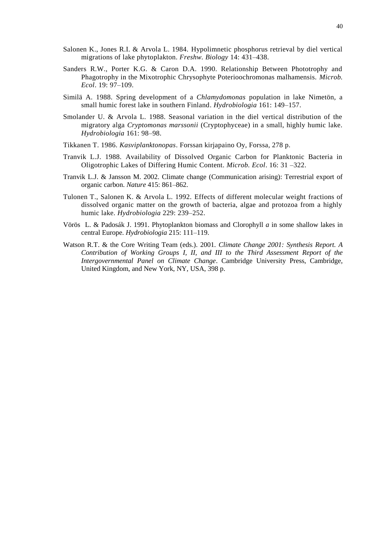- Salonen K., Jones R.I. & Arvola L. 1984. Hypolimnetic phosphorus retrieval by diel vertical migrations of lake phytoplakton. *Freshw. Biology* 14: 431–438.
- Sanders R.W., Porter K.G. & Caron D.A. 1990. Relationship Between Phototrophy and Phagotrophy in the Mixotrophic Chrysophyte Poterioochromonas malhamensis. *Microb. Ecol*. 19: 97–109.
- Similä A. 1988. Spring development of a *Chlamydomonas* population in lake Nimetön, a small humic forest lake in southern Finland. *Hydrobiologia* 161: 149–157.
- Smolander U. & Arvola L. 1988. Seasonal variation in the diel vertical distribution of the migratory alga *Cryptomonas marssonii* (Cryptophyceae) in a small, highly humic lake. *Hydrobiologia* 161: 98–98.
- Tikkanen T. 1986. *Kasviplanktonopas*. Forssan kirjapaino Oy, Forssa, 278 p.
- Tranvik L.J. 1988. Availability of Dissolved Organic Carbon for Planktonic Bacteria in Oligotrophic Lakes of Differing Humic Content. *Microb. Ecol*. 16: 31 –322.
- Tranvik L.J. & Jansson M. 2002. Climate change (Communication arising): Terrestrial export of organic carbon. *Nature* 415: 861–862.
- Tulonen T., Salonen K. & Arvola L. 1992. Effects of different molecular weight fractions of dissolved organic matter on the growth of bacteria, algae and protozoa from a highly humic lake. *Hydrobiologia* 229: 239–252.
- Vörös L. & Padosák J. 1991. Phytoplankton biomass and Clorophyll *a* in some shallow lakes in central Europe. *Hydrobiologia* 215: 111–119.
- Watson R.T. & the Core Writing Team (eds.). 2001. *Climate Change 2001: Synthesis Report. A Contribution of Working Groups I, II, and III to the Third Assessment Report of the Intergovernmental Panel on Climate Change*. Cambridge University Press, Cambridge, United Kingdom, and New York, NY, USA, 398 p.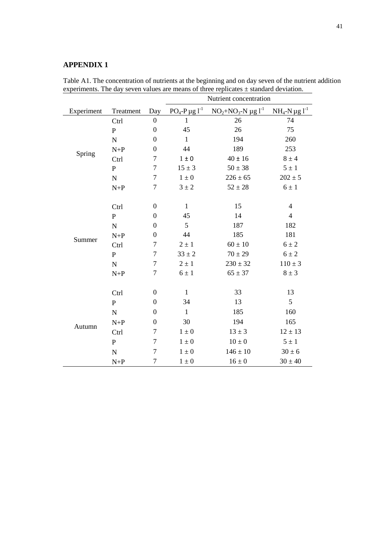# <span id="page-40-0"></span>**APPENDIX 1**

|            |              |                  | Nutrient concentration            |                       |                       |  |  |  |
|------------|--------------|------------------|-----------------------------------|-----------------------|-----------------------|--|--|--|
| Experiment | Treatment    | Day              | $PO_4$ -P $\mu$ g l <sup>-1</sup> | $NO2+NO3-N \mu g I-1$ | $NH_4-N \mu g l^{-1}$ |  |  |  |
|            | Ctrl         | $\boldsymbol{0}$ | $\mathbf{1}$                      | 26                    | 74                    |  |  |  |
|            | $\mathbf P$  | $\boldsymbol{0}$ | 45                                | 26                    | 75                    |  |  |  |
|            | ${\bf N}$    | $\boldsymbol{0}$ | $\mathbf{1}$                      | 194                   | 260                   |  |  |  |
|            | $N+P$        | $\boldsymbol{0}$ | 44                                | 189                   | 253                   |  |  |  |
| Spring     | Ctrl         | 7                | $1 \pm 0$                         | $40 \pm 16$           | $8 \pm 4$             |  |  |  |
|            | $\mathbf{P}$ | $\tau$           | $15 \pm 3$                        | $50 \pm 38$           | $5 \pm 1$             |  |  |  |
|            | ${\bf N}$    | $\tau$           | $1 \pm 0$                         | $226 \pm 65$          | $202 \pm 5$           |  |  |  |
|            | $N+P$        | $\tau$           | $3 \pm 2$                         | $52 \pm 28$           | $6 \pm 1$             |  |  |  |
|            |              |                  |                                   |                       |                       |  |  |  |
|            | Ctrl         | $\boldsymbol{0}$ | $\mathbf{1}$                      | 15                    | $\overline{4}$        |  |  |  |
| Summer     | $\mathbf{P}$ | $\boldsymbol{0}$ | 45                                | 14                    | $\overline{4}$        |  |  |  |
|            | ${\bf N}$    | $\boldsymbol{0}$ | 5                                 | 187                   | 182                   |  |  |  |
|            | $N+P$        | $\boldsymbol{0}$ | 44                                | 185                   | 181                   |  |  |  |
|            | Ctrl         | $\tau$           | $2\pm1$                           | $60 \pm 10$           | $6 \pm 2$             |  |  |  |
|            | $\mathbf{P}$ | 7                | $33 \pm 2$                        | $70 \pm 29$           | $6 \pm 2$             |  |  |  |
|            | ${\bf N}$    | 7                | $2 \pm 1$                         | $230 \pm 32$          | $110 \pm 3$           |  |  |  |
|            | $N+P$        | $\tau$           | $6 \pm 1$                         | $65 \pm 37$           | $8 \pm 3$             |  |  |  |
|            |              |                  |                                   |                       |                       |  |  |  |
|            | Ctrl         | $\boldsymbol{0}$ | $\mathbf{1}$                      | 33                    | 13                    |  |  |  |
|            | $\mathbf{P}$ | $\boldsymbol{0}$ | 34                                | 13                    | 5                     |  |  |  |
|            | ${\bf N}$    | $\boldsymbol{0}$ | $\mathbf{1}$                      | 185                   | 160                   |  |  |  |
|            | $N+P$        | $\boldsymbol{0}$ | 30                                | 194                   | 165                   |  |  |  |
| Autumn     | Ctrl         | 7                | $1\pm 0$                          | $13 \pm 3$            | $12 \pm 13$           |  |  |  |
|            | ${\bf P}$    | 7                | $1 \pm 0$                         | $10 \pm 0$            | $5 \pm 1$             |  |  |  |
|            | ${\bf N}$    | $\tau$           | $1 \pm 0$                         | $146 \pm 10$          | $30 \pm 6$            |  |  |  |
|            | $N+P$        | 7                | $1 \pm 0$                         | $16 \pm 0$            | $30 \pm 40$           |  |  |  |

Table A1. The concentration of nutrients at the beginning and on day seven of the nutrient addition experiments. The day seven values are means of three replicates  $\pm$  standard deviation.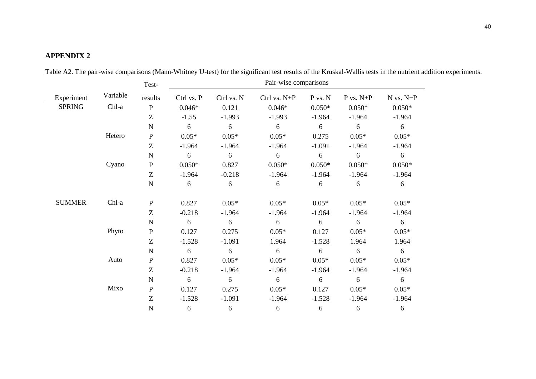# **APPENDIX 2**

<span id="page-41-0"></span>

|               |          | Test-        | Pair-wise comparisons |            |                  |          |               |               |
|---------------|----------|--------------|-----------------------|------------|------------------|----------|---------------|---------------|
| Experiment    | Variable | results      | Ctrl vs. P            | Ctrl vs. N | $Ctrl$ vs. $N+P$ | P vs. N  | $P$ vs. $N+P$ | $N$ vs. $N+P$ |
| <b>SPRING</b> | Chl-a    | $\, {\bf P}$ | $0.046*$              | 0.121      | $0.046*$         | $0.050*$ | $0.050*$      | $0.050*$      |
|               |          | Z            | $-1.55$               | $-1.993$   | $-1.993$         | $-1.964$ | $-1.964$      | $-1.964$      |
|               |          | $\mathbf N$  | 6                     | 6          | 6                | 6        | 6             | $6\,$         |
|               | Hetero   | ${\bf P}$    | $0.05*$               | $0.05*$    | $0.05*$          | 0.275    | $0.05*$       | $0.05*$       |
|               |          | Z            | $-1.964$              | $-1.964$   | $-1.964$         | $-1.091$ | $-1.964$      | $-1.964$      |
|               |          | $\mathbf N$  | 6                     | 6          | 6                | 6        | 6             | $6\,$         |
|               | Cyano    | ${\bf P}$    | $0.050*$              | 0.827      | $0.050*$         | $0.050*$ | $0.050*$      | $0.050*$      |
|               |          | Z            | $-1.964$              | $-0.218$   | $-1.964$         | $-1.964$ | $-1.964$      | $-1.964$      |
|               |          | $\mathbf N$  | 6                     | 6          | 6                | 6        | 6             | 6             |
| <b>SUMMER</b> | Chl-a    | $\mathbf P$  | 0.827                 | $0.05*$    | $0.05*$          | $0.05*$  | $0.05*$       | $0.05*$       |
|               |          | Z            | $-0.218$              | $-1.964$   | $-1.964$         | $-1.964$ | $-1.964$      | $-1.964$      |
|               |          | $\mathbf N$  | 6                     | 6          | 6                | 6        | 6             | 6             |
|               | Phyto    | ${\bf P}$    | 0.127                 | 0.275      | $0.05*$          | 0.127    | $0.05*$       | $0.05*$       |
|               |          | Z            | $-1.528$              | $-1.091$   | 1.964            | $-1.528$ | 1.964         | 1.964         |
|               |          | $\mathbf N$  | 6                     | 6          | 6                | 6        | 6             | 6             |
|               | Auto     | ${\bf P}$    | 0.827                 | $0.05*$    | $0.05*$          | $0.05*$  | $0.05*$       | $0.05*$       |
|               |          | Z            | $-0.218$              | $-1.964$   | $-1.964$         | $-1.964$ | $-1.964$      | $-1.964$      |
|               |          | $\mathbf N$  | 6                     | 6          | 6                | 6        | 6             | 6             |
|               | Mixo     | ${\bf P}$    | 0.127                 | 0.275      | $0.05*$          | 0.127    | $0.05*$       | $0.05*$       |
|               |          | Z            | $-1.528$              | $-1.091$   | $-1.964$         | $-1.528$ | $-1.964$      | $-1.964$      |
|               |          | $\mathbf N$  | 6                     | 6          | 6                | 6        | 6             | 6             |

Table A2. The pair-wise comparisons (Mann-Whitney U-test) for the significant test results of the Kruskal-Wallis tests in the nutrient addition experiments.